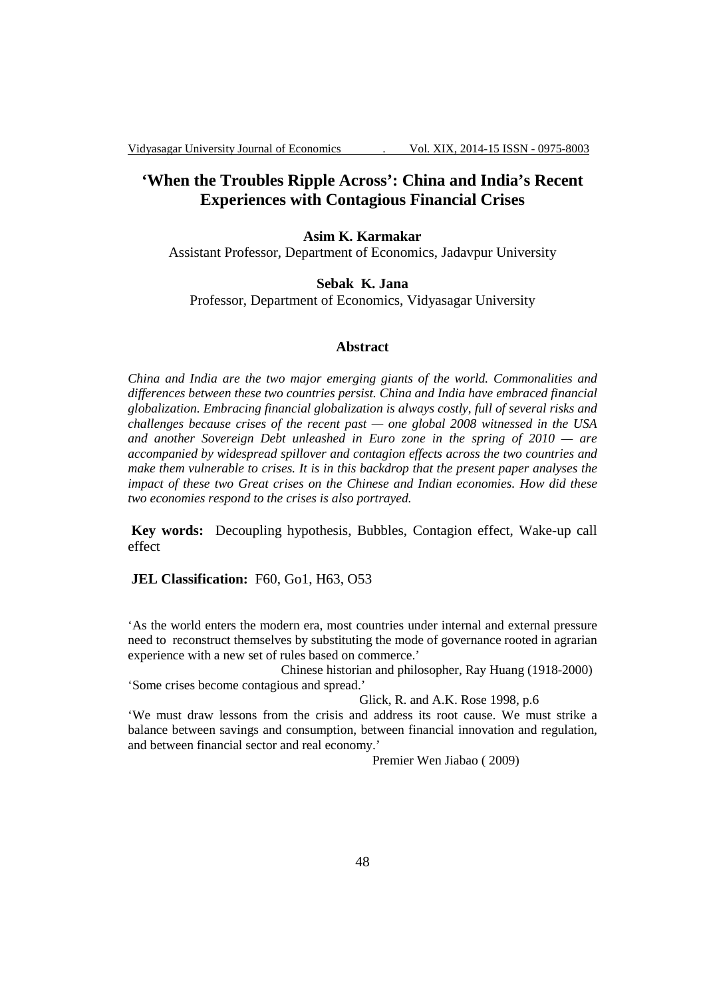# **'When the Troubles Ripple Across': China and India's Recent Experiences with Contagious Financial Crises**

#### **Asim K. Karmakar**

Assistant Professor, Department of Economics, Jadavpur University

### **Sebak K. Jana**

Professor, Department of Economics, Vidyasagar University

#### **Abstract**

*China and India are the two major emerging giants of the world. Commonalities and differences between these two countries persist. China and India have embraced financial globalization. Embracing financial globalization is always costly, full of several risks and challenges because crises of the recent past — one global 2008 witnessed in the USA and another Sovereign Debt unleashed in Euro zone in the spring of 2010 — are accompanied by widespread spillover and contagion effects across the two countries and make them vulnerable to crises. It is in this backdrop that the present paper analyses the impact of these two Great crises on the Chinese and Indian economies. How did these two economies respond to the crises is also portrayed.* 

 **Key words:** Decoupling hypothesis, Bubbles, Contagion effect, Wake-up call effect

### **JEL Classification:** F60, Go1, H63, O53

'As the world enters the modern era, most countries under internal and external pressure need to reconstruct themselves by substituting the mode of governance rooted in agrarian experience with a new set of rules based on commerce.'

 Chinese historian and philosopher, Ray Huang (1918-2000) 'Some crises become contagious and spread.'

Glick, R. and A.K. Rose 1998, p.6

'We must draw lessons from the crisis and address its root cause. We must strike a balance between savings and consumption, between financial innovation and regulation, and between financial sector and real economy.'

Premier Wen Jiabao ( 2009)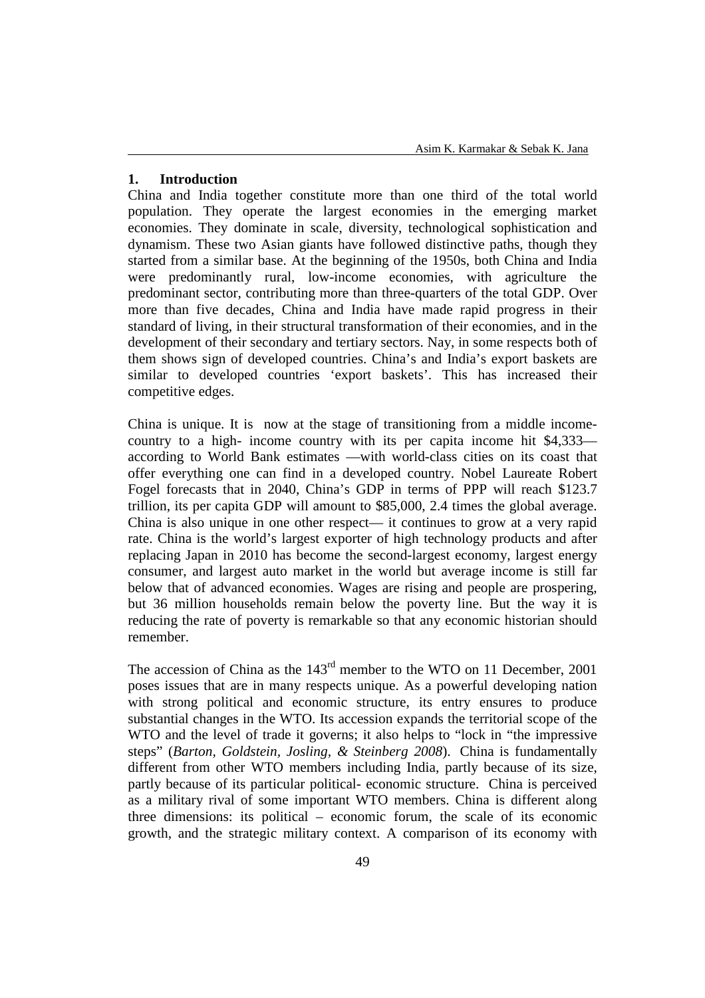## **1. Introduction**

China and India together constitute more than one third of the total world population. They operate the largest economies in the emerging market economies. They dominate in scale, diversity, technological sophistication and dynamism. These two Asian giants have followed distinctive paths, though they started from a similar base. At the beginning of the 1950s, both China and India were predominantly rural, low-income economies, with agriculture the predominant sector, contributing more than three-quarters of the total GDP. Over more than five decades, China and India have made rapid progress in their standard of living, in their structural transformation of their economies, and in the development of their secondary and tertiary sectors. Nay, in some respects both of them shows sign of developed countries. China's and India's export baskets are similar to developed countries 'export baskets'. This has increased their competitive edges.

China is unique. It is now at the stage of transitioning from a middle incomecountry to a high- income country with its per capita income hit \$4,333 according to World Bank estimates —with world-class cities on its coast that offer everything one can find in a developed country. Nobel Laureate Robert Fogel forecasts that in 2040, China's GDP in terms of PPP will reach \$123.7 trillion, its per capita GDP will amount to \$85,000, 2.4 times the global average. China is also unique in one other respect— it continues to grow at a very rapid rate. China is the world's largest exporter of high technology products and after replacing Japan in 2010 has become the second-largest economy, largest energy consumer, and largest auto market in the world but average income is still far below that of advanced economies. Wages are rising and people are prospering, but 36 million households remain below the poverty line. But the way it is reducing the rate of poverty is remarkable so that any economic historian should remember.

The accession of China as the 143<sup>rd</sup> member to the WTO on 11 December, 2001 poses issues that are in many respects unique. As a powerful developing nation with strong political and economic structure, its entry ensures to produce substantial changes in the WTO. Its accession expands the territorial scope of the WTO and the level of trade it governs; it also helps to "lock in "the impressive steps" (*Barton, Goldstein, Josling, & Steinberg 2008*). China is fundamentally different from other WTO members including India, partly because of its size, partly because of its particular political- economic structure. China is perceived as a military rival of some important WTO members. China is different along three dimensions: its political – economic forum, the scale of its economic growth, and the strategic military context. A comparison of its economy with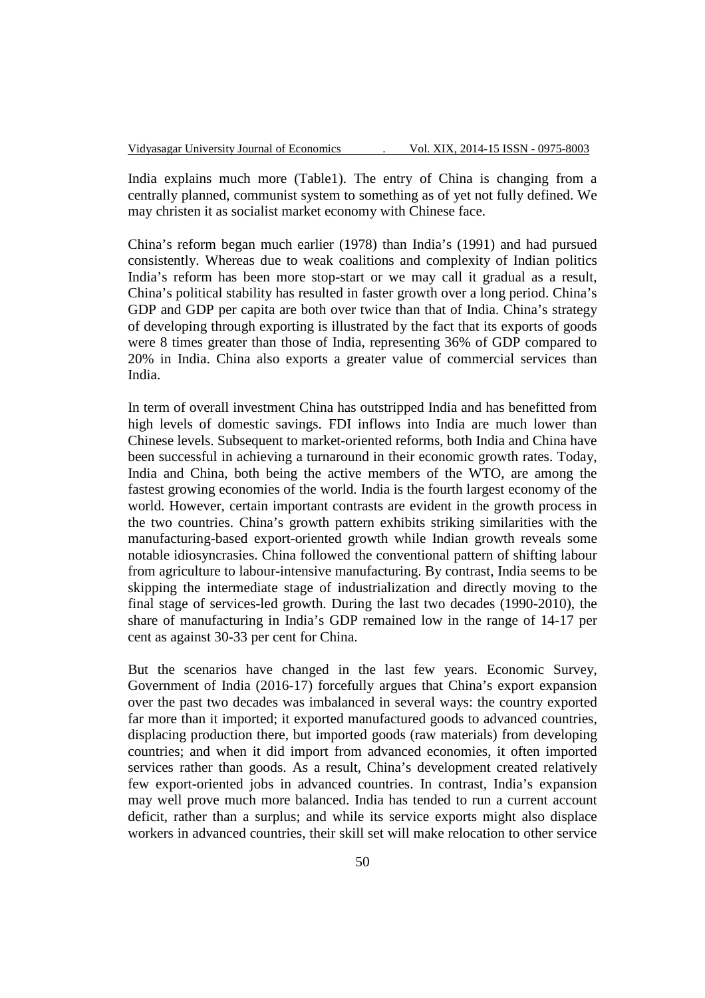India explains much more (Table1). The entry of China is changing from a centrally planned, communist system to something as of yet not fully defined. We may christen it as socialist market economy with Chinese face.

China's reform began much earlier (1978) than India's (1991) and had pursued consistently. Whereas due to weak coalitions and complexity of Indian politics India's reform has been more stop-start or we may call it gradual as a result, China's political stability has resulted in faster growth over a long period. China's GDP and GDP per capita are both over twice than that of India. China's strategy of developing through exporting is illustrated by the fact that its exports of goods were 8 times greater than those of India, representing 36% of GDP compared to 20% in India. China also exports a greater value of commercial services than India.

In term of overall investment China has outstripped India and has benefitted from high levels of domestic savings. FDI inflows into India are much lower than Chinese levels. Subsequent to market-oriented reforms, both India and China have been successful in achieving a turnaround in their economic growth rates. Today, India and China, both being the active members of the WTO, are among the fastest growing economies of the world. India is the fourth largest economy of the world. However, certain important contrasts are evident in the growth process in the two countries. China's growth pattern exhibits striking similarities with the manufacturing-based export-oriented growth while Indian growth reveals some notable idiosyncrasies. China followed the conventional pattern of shifting labour from agriculture to labour-intensive manufacturing. By contrast, India seems to be skipping the intermediate stage of industrialization and directly moving to the final stage of services-led growth. During the last two decades (1990-2010), the share of manufacturing in India's GDP remained low in the range of 14-17 per cent as against 30-33 per cent for China.

But the scenarios have changed in the last few years. Economic Survey, Government of India (2016-17) forcefully argues that China's export expansion over the past two decades was imbalanced in several ways: the country exported far more than it imported; it exported manufactured goods to advanced countries, displacing production there, but imported goods (raw materials) from developing countries; and when it did import from advanced economies, it often imported services rather than goods. As a result, China's development created relatively few export-oriented jobs in advanced countries. In contrast, India's expansion may well prove much more balanced. India has tended to run a current account deficit, rather than a surplus; and while its service exports might also displace workers in advanced countries, their skill set will make relocation to other service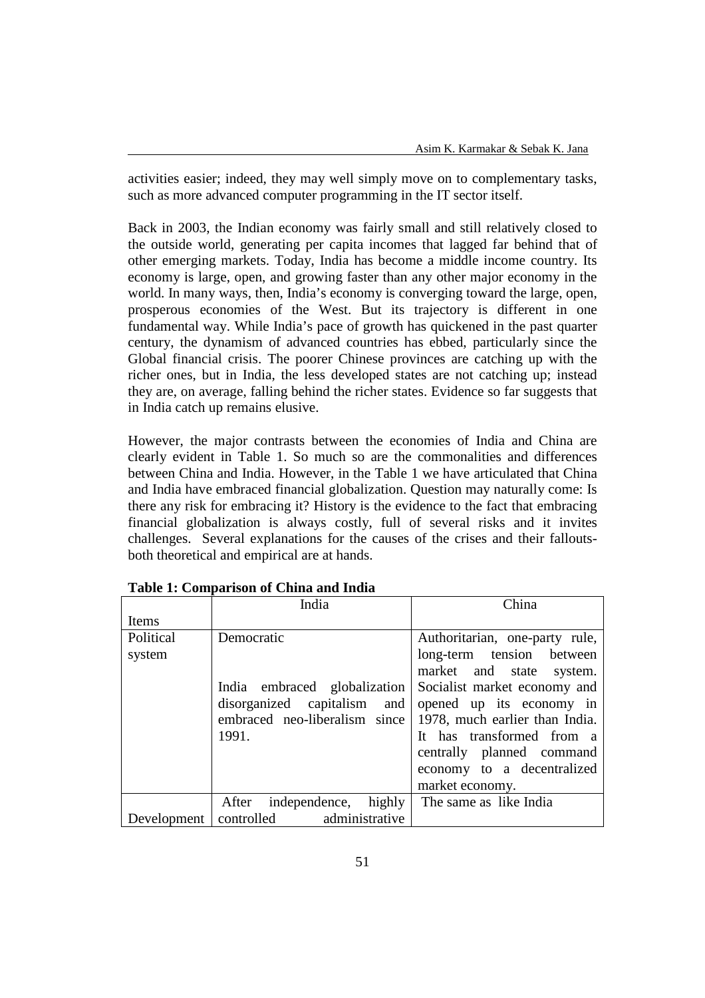activities easier; indeed, they may well simply move on to complementary tasks, such as more advanced computer programming in the IT sector itself.

Back in 2003, the Indian economy was fairly small and still relatively closed to the outside world, generating per capita incomes that lagged far behind that of other emerging markets. Today, India has become a middle income country. Its economy is large, open, and growing faster than any other major economy in the world. In many ways, then, India's economy is converging toward the large, open, prosperous economies of the West. But its trajectory is different in one fundamental way. While India's pace of growth has quickened in the past quarter century, the dynamism of advanced countries has ebbed, particularly since the Global financial crisis. The poorer Chinese provinces are catching up with the richer ones, but in India, the less developed states are not catching up; instead they are, on average, falling behind the richer states. Evidence so far suggests that in India catch up remains elusive.

However, the major contrasts between the economies of India and China are clearly evident in Table 1. So much so are the commonalities and differences between China and India. However, in the Table 1 we have articulated that China and India have embraced financial globalization. Question may naturally come: Is there any risk for embracing it? History is the evidence to the fact that embracing financial globalization is always costly, full of several risks and it invites challenges. Several explanations for the causes of the crises and their falloutsboth theoretical and empirical are at hands.

|                     | India                                                                                                               | China                                                                                                                                                                                                                                           |  |  |
|---------------------|---------------------------------------------------------------------------------------------------------------------|-------------------------------------------------------------------------------------------------------------------------------------------------------------------------------------------------------------------------------------------------|--|--|
| Items               |                                                                                                                     |                                                                                                                                                                                                                                                 |  |  |
| Political<br>system | Democratic<br>India embraced globalization<br>disorganized capitalism and<br>embraced neo-liberalism since<br>1991. | Authoritarian, one-party rule,<br>long-term tension between<br>market and state system.<br>Socialist market economy and<br>opened up its economy in<br>1978, much earlier than India.<br>It has transformed from a<br>centrally planned command |  |  |
|                     |                                                                                                                     | economy to a decentralized<br>market economy.                                                                                                                                                                                                   |  |  |
|                     | After independence, highly                                                                                          | The same as like India                                                                                                                                                                                                                          |  |  |
| Development         | controlled administrative                                                                                           |                                                                                                                                                                                                                                                 |  |  |

**Table 1: Comparison of China and India**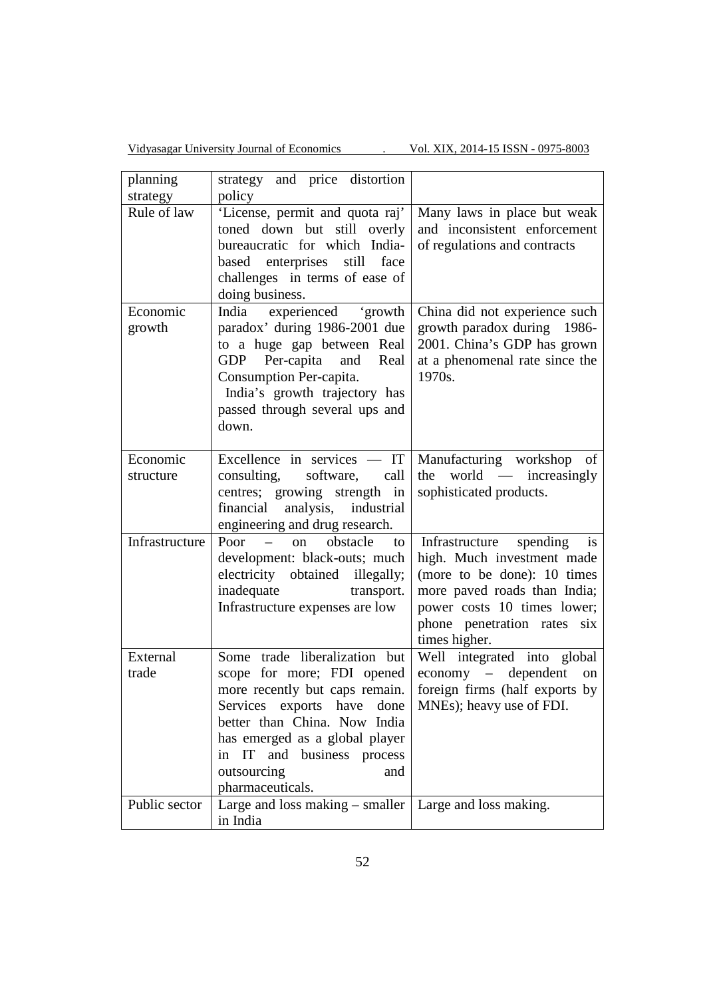Vidyasagar University Journal of Economics . Vol. XIX, 2014-15 ISSN - 0975-8003

| planning       | strategy and price distortion                              |                                |
|----------------|------------------------------------------------------------|--------------------------------|
| strategy       | policy                                                     |                                |
| Rule of law    | 'License, permit and quota raj'                            | Many laws in place but weak    |
|                | toned down but still overly                                | and inconsistent enforcement   |
|                | bureaucratic for which India-                              | of regulations and contracts   |
|                | enterprises still face<br>based                            |                                |
|                | challenges in terms of ease of                             |                                |
|                | doing business.                                            |                                |
| Economic       | India experienced 'growth                                  | China did not experience such  |
| growth         | paradox' during 1986-2001 due                              | growth paradox during 1986-    |
|                | to a huge gap between Real                                 | 2001. China's GDP has grown    |
|                | GDP Per-capita and<br>Real                                 | at a phenomenal rate since the |
|                | Consumption Per-capita.                                    | 1970s.                         |
|                | India's growth trajectory has                              |                                |
|                | passed through several ups and                             |                                |
|                | down.                                                      |                                |
|                |                                                            |                                |
| Economic       |                                                            |                                |
|                | Excellence in services $-$ IT                              | Manufacturing workshop of      |
| structure      | consulting, software, call                                 | world — increasingly<br>the    |
|                | centres; growing strength in                               | sophisticated products.        |
|                | financial analysis, industrial                             |                                |
|                | engineering and drug research.                             |                                |
| Infrastructure | Poor $-$ on obstacle<br>to                                 | Infrastructure spending<br>is  |
|                | development: black-outs; much                              | high. Much investment made     |
|                | electricity obtained illegally;                            | (more to be done): 10 times    |
|                | inadequate transport.                                      | more paved roads than India;   |
|                | Infrastructure expenses are low                            | power costs 10 times lower;    |
|                |                                                            | phone penetration rates six    |
|                |                                                            | times higher.                  |
| External       | Some trade liberalization but                              | Well integrated into global    |
| trade          | scope for more; FDI opened                                 | economy - dependent<br>on      |
|                | more recently but caps remain.                             | foreign firms (half exports by |
|                | Services exports have<br>done                              | MNEs); heavy use of FDI.       |
|                | better than China. Now India                               |                                |
|                | has emerged as a global player                             |                                |
|                | IT and business process<br>in                              |                                |
|                | outsourcing<br>and                                         |                                |
|                | pharmaceuticals.                                           |                                |
| Public sector  | Large and loss making $-$ smaller   Large and loss making. |                                |
|                |                                                            |                                |
|                | in India                                                   |                                |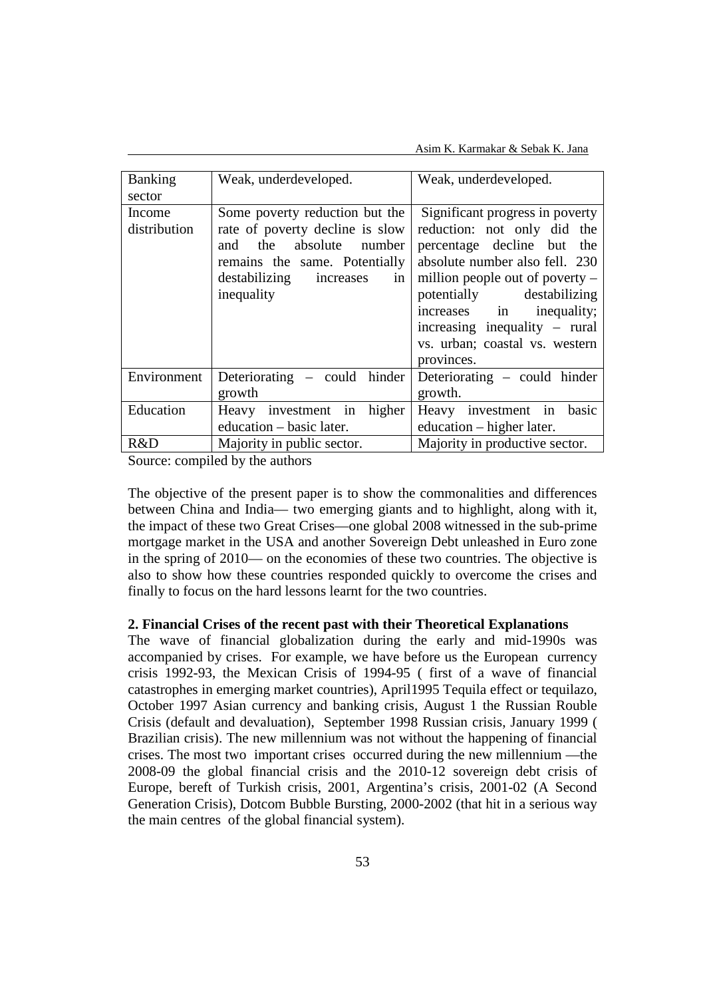Asim K. Karmakar & Sebak K. Jana

| <b>Banking</b>         | Weak, underdeveloped.                                                                                                                                                        | Weak, underdeveloped.                                                                                                                                                                                                                                              |  |  |
|------------------------|------------------------------------------------------------------------------------------------------------------------------------------------------------------------------|--------------------------------------------------------------------------------------------------------------------------------------------------------------------------------------------------------------------------------------------------------------------|--|--|
| sector                 |                                                                                                                                                                              |                                                                                                                                                                                                                                                                    |  |  |
| Income<br>distribution | Some poverty reduction but the<br>rate of poverty decline is slow<br>and the absolute number<br>remains the same. Potentially<br>destabilizing increases<br>in<br>inequality | Significant progress in poverty<br>reduction: not only did the<br>percentage decline but the<br>absolute number also fell. 230<br>million people out of poverty $-$<br>potentially destabilizing<br>increases in<br>inequality;<br>increasing inequality $-$ rural |  |  |
|                        |                                                                                                                                                                              | vs. urban; coastal vs. western<br>provinces.                                                                                                                                                                                                                       |  |  |
| Environment            | Deteriorating – could hinder<br>growth                                                                                                                                       | Deteriorating – could hinder<br>growth.                                                                                                                                                                                                                            |  |  |
| Education              | Heavy investment in higher<br>education - basic later.                                                                                                                       | Heavy investment in<br>basic<br>education – higher later.                                                                                                                                                                                                          |  |  |
| R&D                    | Majority in public sector.                                                                                                                                                   | Majority in productive sector.                                                                                                                                                                                                                                     |  |  |

Source: compiled by the authors

The objective of the present paper is to show the commonalities and differences between China and India— two emerging giants and to highlight, along with it, the impact of these two Great Crises—one global 2008 witnessed in the sub-prime mortgage market in the USA and another Sovereign Debt unleashed in Euro zone in the spring of 2010— on the economies of these two countries. The objective is also to show how these countries responded quickly to overcome the crises and finally to focus on the hard lessons learnt for the two countries.

## **2. Financial Crises of the recent past with their Theoretical Explanations**

The wave of financial globalization during the early and mid-1990s was accompanied by crises. For example, we have before us the European currency crisis 1992-93, the Mexican Crisis of 1994-95 ( first of a wave of financial catastrophes in emerging market countries), April1995 Tequila effect or tequilazo, October 1997 Asian currency and banking crisis, August 1 the Russian Rouble Crisis (default and devaluation), September 1998 Russian crisis, January 1999 ( Brazilian crisis). The new millennium was not without the happening of financial crises. The most two important crises occurred during the new millennium —the 2008-09 the global financial crisis and the 2010-12 sovereign debt crisis of Europe, bereft of Turkish crisis, 2001, Argentina's crisis, 2001-02 (A Second Generation Crisis), Dotcom Bubble Bursting, 2000-2002 (that hit in a serious way the main centres of the global financial system).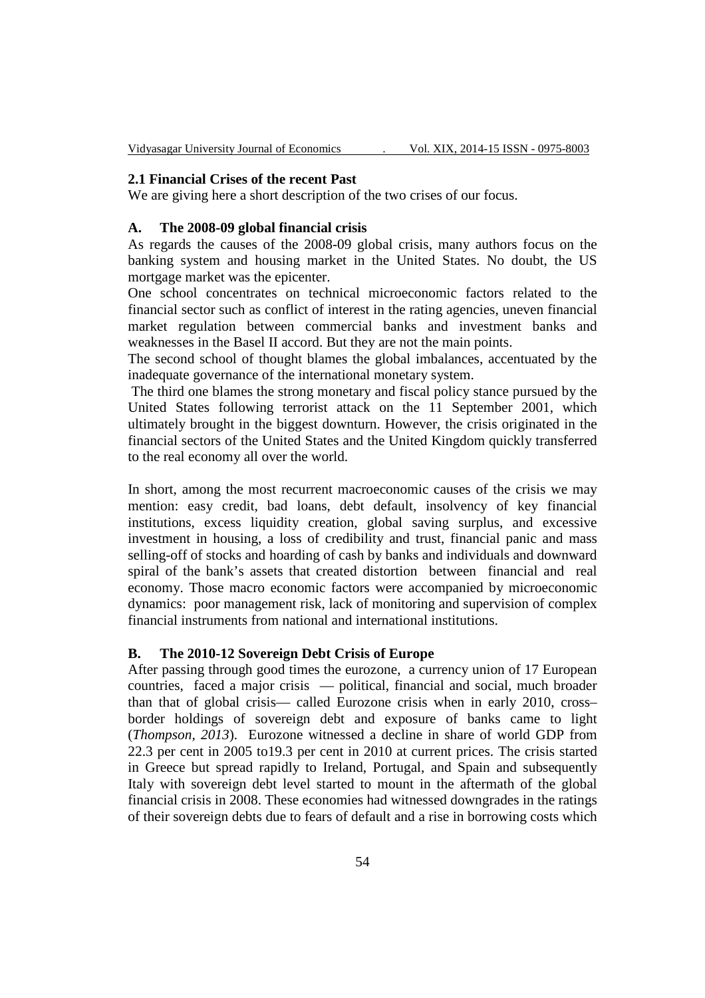#### **2.1 Financial Crises of the recent Past**

We are giving here a short description of the two crises of our focus.

### **A. The 2008-09 global financial crisis**

As regards the causes of the 2008-09 global crisis, many authors focus on the banking system and housing market in the United States. No doubt, the US mortgage market was the epicenter.

One school concentrates on technical microeconomic factors related to the financial sector such as conflict of interest in the rating agencies, uneven financial market regulation between commercial banks and investment banks and weaknesses in the Basel II accord. But they are not the main points.

The second school of thought blames the global imbalances, accentuated by the inadequate governance of the international monetary system.

 The third one blames the strong monetary and fiscal policy stance pursued by the United States following terrorist attack on the 11 September 2001, which ultimately brought in the biggest downturn. However, the crisis originated in the financial sectors of the United States and the United Kingdom quickly transferred to the real economy all over the world.

In short, among the most recurrent macroeconomic causes of the crisis we may mention: easy credit, bad loans, debt default, insolvency of key financial institutions, excess liquidity creation, global saving surplus, and excessive investment in housing, a loss of credibility and trust, financial panic and mass selling-off of stocks and hoarding of cash by banks and individuals and downward spiral of the bank's assets that created distortion between financial and real economy. Those macro economic factors were accompanied by microeconomic dynamics: poor management risk, lack of monitoring and supervision of complex financial instruments from national and international institutions.

## **B. The 2010-12 Sovereign Debt Crisis of Europe**

After passing through good times the eurozone, a currency union of 17 European countries, faced a major crisis — political, financial and social, much broader than that of global crisis— called Eurozone crisis when in early 2010, cross– border holdings of sovereign debt and exposure of banks came to light (*Thompson, 2013*). Eurozone witnessed a decline in share of world GDP from 22.3 per cent in 2005 to19.3 per cent in 2010 at current prices. The crisis started in Greece but spread rapidly to Ireland, Portugal, and Spain and subsequently Italy with sovereign debt level started to mount in the aftermath of the global financial crisis in 2008. These economies had witnessed downgrades in the ratings of their sovereign debts due to fears of default and a rise in borrowing costs which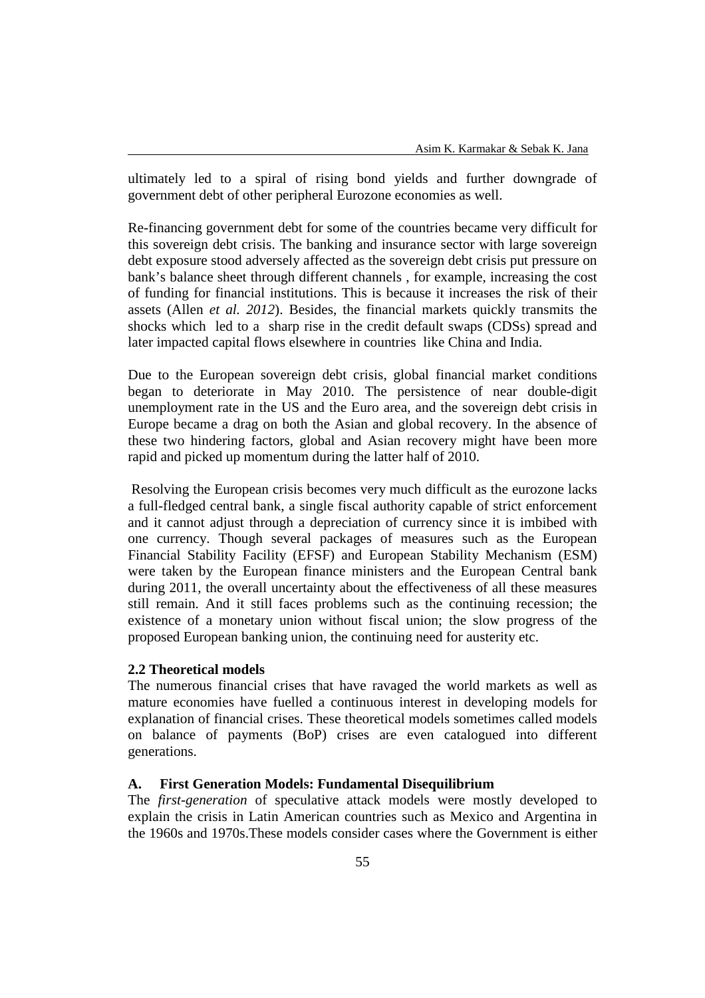ultimately led to a spiral of rising bond yields and further downgrade of government debt of other peripheral Eurozone economies as well.

Re-financing government debt for some of the countries became very difficult for this sovereign debt crisis. The banking and insurance sector with large sovereign debt exposure stood adversely affected as the sovereign debt crisis put pressure on bank's balance sheet through different channels , for example, increasing the cost of funding for financial institutions. This is because it increases the risk of their assets (Allen *et al. 2012*). Besides, the financial markets quickly transmits the shocks which led to a sharp rise in the credit default swaps (CDSs) spread and later impacted capital flows elsewhere in countries like China and India.

Due to the European sovereign debt crisis, global financial market conditions began to deteriorate in May 2010. The persistence of near double-digit unemployment rate in the US and the Euro area, and the sovereign debt crisis in Europe became a drag on both the Asian and global recovery. In the absence of these two hindering factors, global and Asian recovery might have been more rapid and picked up momentum during the latter half of 2010.

 Resolving the European crisis becomes very much difficult as the eurozone lacks a full-fledged central bank, a single fiscal authority capable of strict enforcement and it cannot adjust through a depreciation of currency since it is imbibed with one currency. Though several packages of measures such as the European Financial Stability Facility (EFSF) and European Stability Mechanism (ESM) were taken by the European finance ministers and the European Central bank during 2011, the overall uncertainty about the effectiveness of all these measures still remain. And it still faces problems such as the continuing recession; the existence of a monetary union without fiscal union; the slow progress of the proposed European banking union, the continuing need for austerity etc.

## **2.2 Theoretical models**

The numerous financial crises that have ravaged the world markets as well as mature economies have fuelled a continuous interest in developing models for explanation of financial crises. These theoretical models sometimes called models on balance of payments (BoP) crises are even catalogued into different generations.

### **A. First Generation Models: Fundamental Disequilibrium**

The *first-generation* of speculative attack models were mostly developed to explain the crisis in Latin American countries such as Mexico and Argentina in the 1960s and 1970s.These models consider cases where the Government is either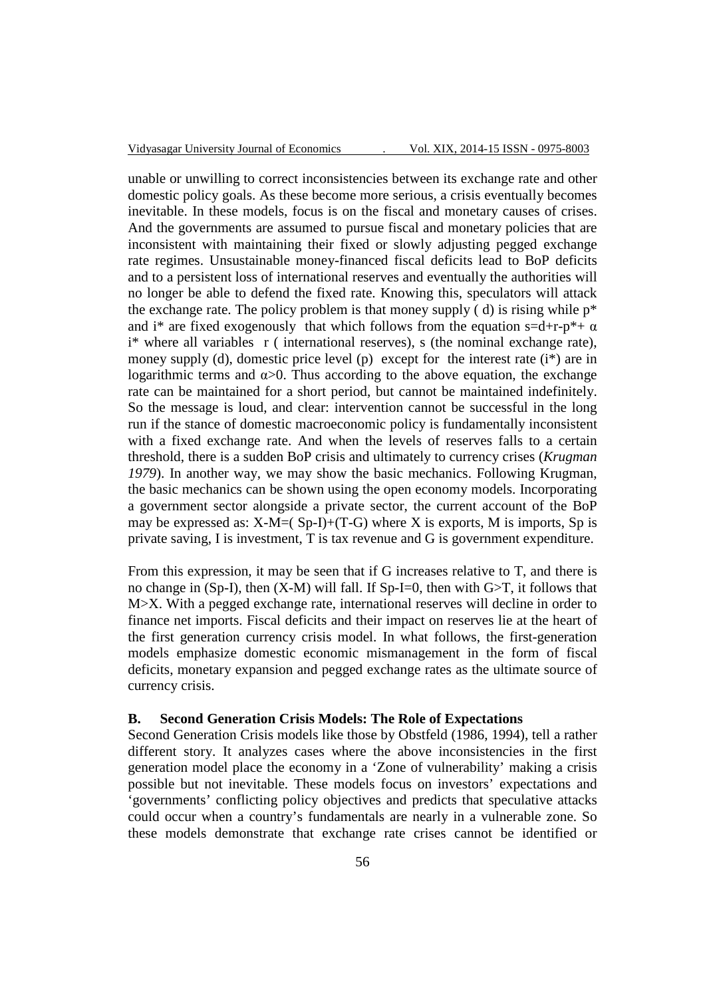unable or unwilling to correct inconsistencies between its exchange rate and other domestic policy goals. As these become more serious, a crisis eventually becomes inevitable. In these models, focus is on the fiscal and monetary causes of crises. And the governments are assumed to pursue fiscal and monetary policies that are inconsistent with maintaining their fixed or slowly adjusting pegged exchange rate regimes. Unsustainable money-financed fiscal deficits lead to BoP deficits and to a persistent loss of international reserves and eventually the authorities will no longer be able to defend the fixed rate. Knowing this, speculators will attack the exchange rate. The policy problem is that money supply  $(d)$  is rising while  $p^*$ and i<sup>\*</sup> are fixed exogenously that which follows from the equation s=d+r-p<sup>\*</sup>+  $\alpha$ i\* where all variables r ( international reserves), s (the nominal exchange rate), money supply (d), domestic price level (p) except for the interest rate  $(i^*)$  are in logarithmic terms and  $\alpha > 0$ . Thus according to the above equation, the exchange rate can be maintained for a short period, but cannot be maintained indefinitely. So the message is loud, and clear: intervention cannot be successful in the long run if the stance of domestic macroeconomic policy is fundamentally inconsistent with a fixed exchange rate. And when the levels of reserves falls to a certain threshold, there is a sudden BoP crisis and ultimately to currency crises (*Krugman 1979*). In another way, we may show the basic mechanics. Following Krugman, the basic mechanics can be shown using the open economy models. Incorporating a government sector alongside a private sector, the current account of the BoP may be expressed as:  $X-M=(Sp-I)+(T-G)$  where X is exports, M is imports, Sp is private saving, I is investment, T is tax revenue and G is government expenditure.

From this expression, it may be seen that if G increases relative to T, and there is no change in (Sp-I), then  $(X-M)$  will fall. If Sp-I=0, then with  $G>T$ , it follows that M>X. With a pegged exchange rate, international reserves will decline in order to finance net imports. Fiscal deficits and their impact on reserves lie at the heart of the first generation currency crisis model. In what follows, the first-generation models emphasize domestic economic mismanagement in the form of fiscal deficits, monetary expansion and pegged exchange rates as the ultimate source of currency crisis.

## **B. Second Generation Crisis Models: The Role of Expectations**

Second Generation Crisis models like those by Obstfeld (1986, 1994), tell a rather different story. It analyzes cases where the above inconsistencies in the first generation model place the economy in a 'Zone of vulnerability' making a crisis possible but not inevitable. These models focus on investors' expectations and 'governments' conflicting policy objectives and predicts that speculative attacks could occur when a country's fundamentals are nearly in a vulnerable zone. So these models demonstrate that exchange rate crises cannot be identified or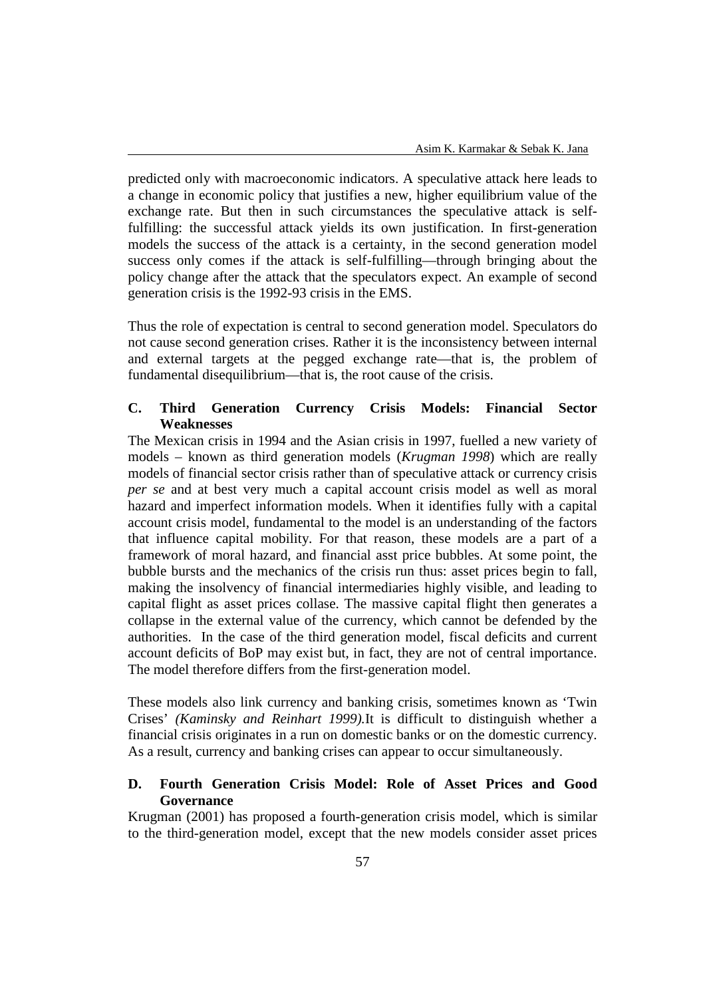predicted only with macroeconomic indicators. A speculative attack here leads to a change in economic policy that justifies a new, higher equilibrium value of the exchange rate. But then in such circumstances the speculative attack is selffulfilling: the successful attack yields its own justification. In first-generation models the success of the attack is a certainty, in the second generation model success only comes if the attack is self-fulfilling—through bringing about the policy change after the attack that the speculators expect. An example of second generation crisis is the 1992-93 crisis in the EMS.

Thus the role of expectation is central to second generation model. Speculators do not cause second generation crises. Rather it is the inconsistency between internal and external targets at the pegged exchange rate—that is, the problem of fundamental disequilibrium—that is, the root cause of the crisis.

## **C. Third Generation Currency Crisis Models: Financial Sector Weaknesses**

The Mexican crisis in 1994 and the Asian crisis in 1997, fuelled a new variety of models – known as third generation models (*Krugman 1998*) which are really models of financial sector crisis rather than of speculative attack or currency crisis *per se* and at best very much a capital account crisis model as well as moral hazard and imperfect information models. When it identifies fully with a capital account crisis model, fundamental to the model is an understanding of the factors that influence capital mobility. For that reason, these models are a part of a framework of moral hazard, and financial asst price bubbles. At some point, the bubble bursts and the mechanics of the crisis run thus: asset prices begin to fall, making the insolvency of financial intermediaries highly visible, and leading to capital flight as asset prices collase. The massive capital flight then generates a collapse in the external value of the currency, which cannot be defended by the authorities. In the case of the third generation model, fiscal deficits and current account deficits of BoP may exist but, in fact, they are not of central importance. The model therefore differs from the first-generation model.

These models also link currency and banking crisis, sometimes known as 'Twin Crises' *(Kaminsky and Reinhart 1999).*It is difficult to distinguish whether a financial crisis originates in a run on domestic banks or on the domestic currency. As a result, currency and banking crises can appear to occur simultaneously.

## **D. Fourth Generation Crisis Model: Role of Asset Prices and Good Governance**

Krugman (2001) has proposed a fourth-generation crisis model, which is similar to the third-generation model, except that the new models consider asset prices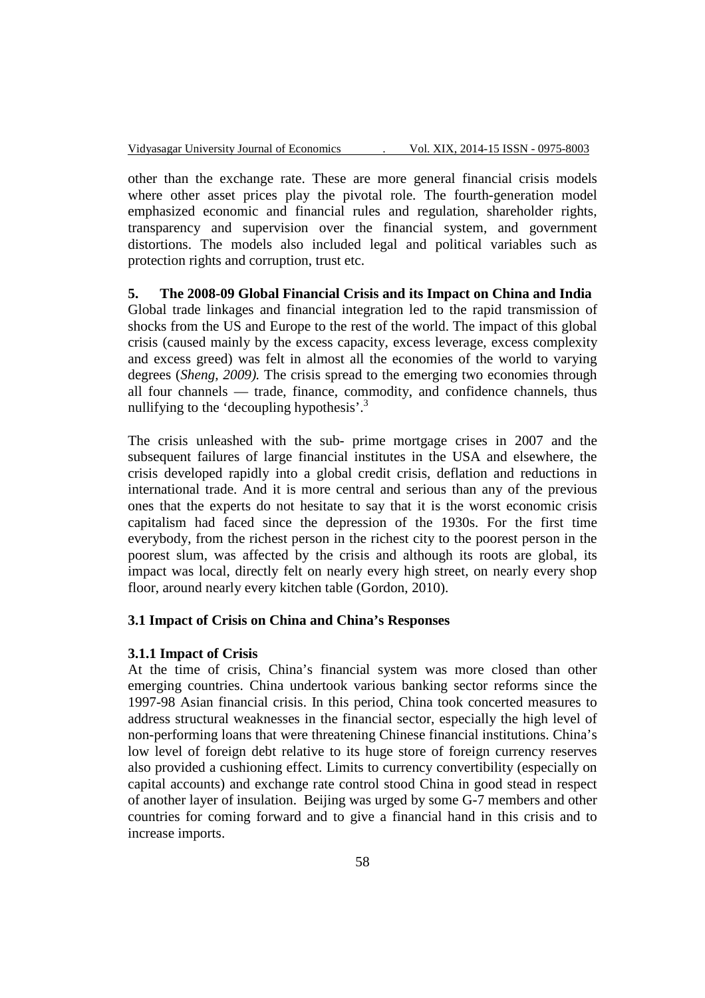other than the exchange rate. These are more general financial crisis models where other asset prices play the pivotal role. The fourth-generation model emphasized economic and financial rules and regulation, shareholder rights, transparency and supervision over the financial system, and government distortions. The models also included legal and political variables such as protection rights and corruption, trust etc.

## **5. The 2008-09 Global Financial Crisis and its Impact on China and India**

Global trade linkages and financial integration led to the rapid transmission of shocks from the US and Europe to the rest of the world. The impact of this global crisis (caused mainly by the excess capacity, excess leverage, excess complexity and excess greed) was felt in almost all the economies of the world to varying degrees (*Sheng, 2009).* The crisis spread to the emerging two economies through all four channels — trade, finance, commodity, and confidence channels, thus nullifying to the 'decoupling hypothesis'.<sup>3</sup>

The crisis unleashed with the sub- prime mortgage crises in 2007 and the subsequent failures of large financial institutes in the USA and elsewhere, the crisis developed rapidly into a global credit crisis, deflation and reductions in international trade. And it is more central and serious than any of the previous ones that the experts do not hesitate to say that it is the worst economic crisis capitalism had faced since the depression of the 1930s. For the first time everybody, from the richest person in the richest city to the poorest person in the poorest slum, was affected by the crisis and although its roots are global, its impact was local, directly felt on nearly every high street, on nearly every shop floor, around nearly every kitchen table (Gordon, 2010).

## **3.1 Impact of Crisis on China and China's Responses**

#### **3.1.1 Impact of Crisis**

At the time of crisis, China's financial system was more closed than other emerging countries. China undertook various banking sector reforms since the 1997-98 Asian financial crisis. In this period, China took concerted measures to address structural weaknesses in the financial sector, especially the high level of non-performing loans that were threatening Chinese financial institutions. China's low level of foreign debt relative to its huge store of foreign currency reserves also provided a cushioning effect. Limits to currency convertibility (especially on capital accounts) and exchange rate control stood China in good stead in respect of another layer of insulation. Beijing was urged by some G-7 members and other countries for coming forward and to give a financial hand in this crisis and to increase imports.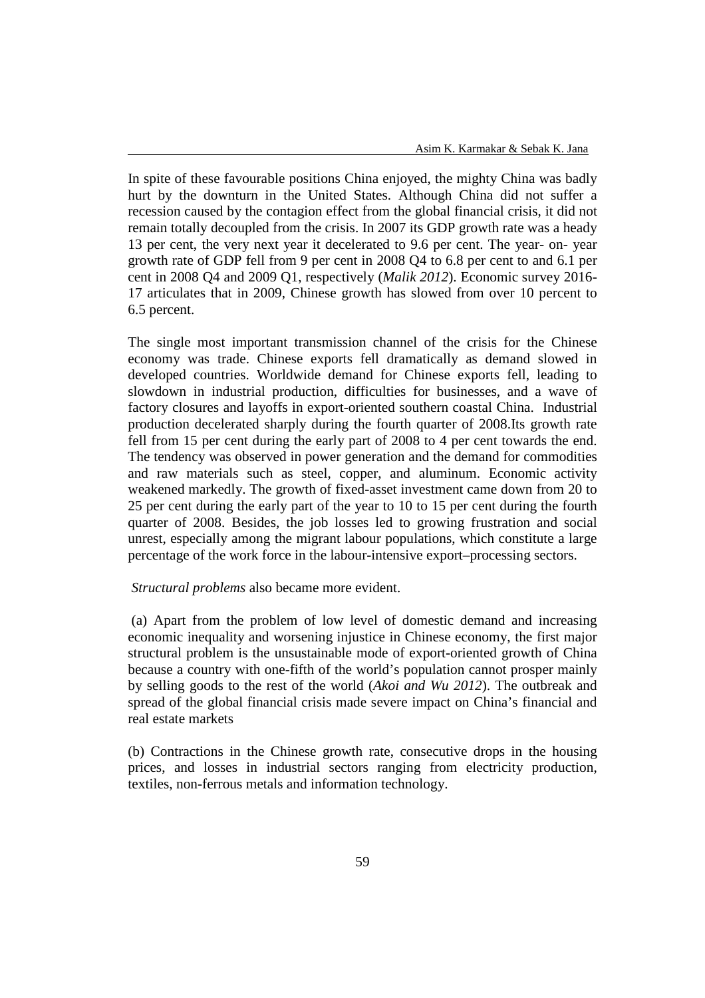In spite of these favourable positions China enjoyed, the mighty China was badly hurt by the downturn in the United States. Although China did not suffer a recession caused by the contagion effect from the global financial crisis, it did not remain totally decoupled from the crisis. In 2007 its GDP growth rate was a heady 13 per cent, the very next year it decelerated to 9.6 per cent. The year- on- year growth rate of GDP fell from 9 per cent in 2008 Q4 to 6.8 per cent to and 6.1 per cent in 2008 Q4 and 2009 Q1, respectively (*Malik 2012*). Economic survey 2016- 17 articulates that in 2009, Chinese growth has slowed from over 10 percent to 6.5 percent.

The single most important transmission channel of the crisis for the Chinese economy was trade. Chinese exports fell dramatically as demand slowed in developed countries. Worldwide demand for Chinese exports fell, leading to slowdown in industrial production, difficulties for businesses, and a wave of factory closures and layoffs in export-oriented southern coastal China. Industrial production decelerated sharply during the fourth quarter of 2008.Its growth rate fell from 15 per cent during the early part of 2008 to 4 per cent towards the end. The tendency was observed in power generation and the demand for commodities and raw materials such as steel, copper, and aluminum. Economic activity weakened markedly. The growth of fixed-asset investment came down from 20 to 25 per cent during the early part of the year to 10 to 15 per cent during the fourth quarter of 2008. Besides, the job losses led to growing frustration and social unrest, especially among the migrant labour populations, which constitute a large percentage of the work force in the labour-intensive export–processing sectors.

#### *Structural problems* also became more evident.

 (a) Apart from the problem of low level of domestic demand and increasing economic inequality and worsening injustice in Chinese economy, the first major structural problem is the unsustainable mode of export-oriented growth of China because a country with one-fifth of the world's population cannot prosper mainly by selling goods to the rest of the world (*Akoi and Wu 2012*). The outbreak and spread of the global financial crisis made severe impact on China's financial and real estate markets

(b) Contractions in the Chinese growth rate, consecutive drops in the housing prices, and losses in industrial sectors ranging from electricity production, textiles, non-ferrous metals and information technology.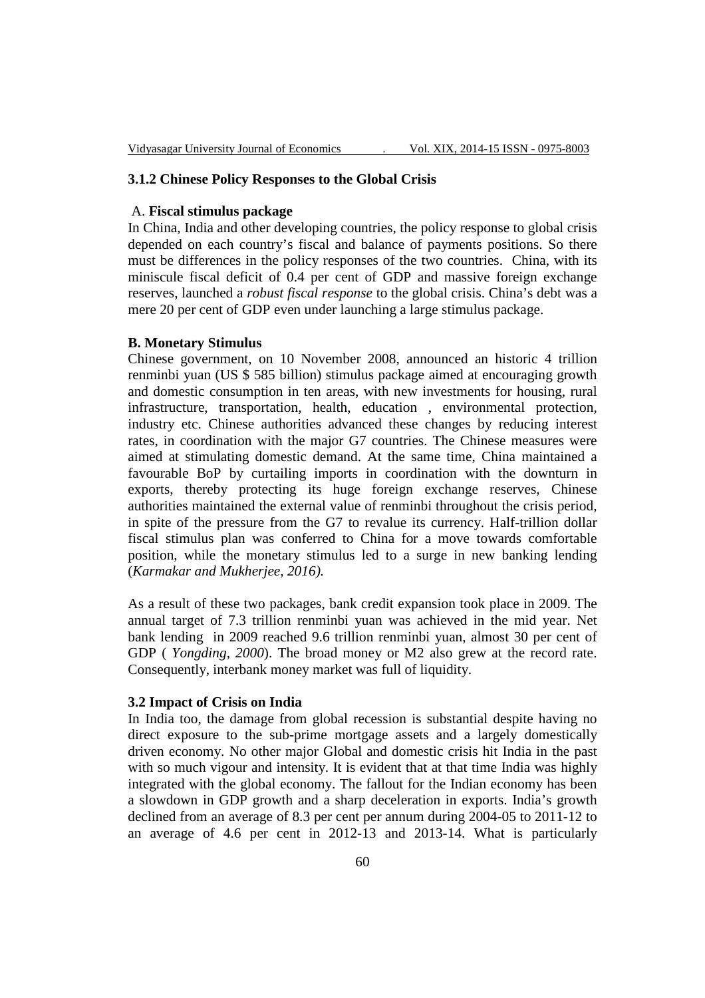### **3.1.2 Chinese Policy Responses to the Global Crisis**

#### A. **Fiscal stimulus package**

In China, India and other developing countries, the policy response to global crisis depended on each country's fiscal and balance of payments positions. So there must be differences in the policy responses of the two countries. China, with its miniscule fiscal deficit of 0.4 per cent of GDP and massive foreign exchange reserves, launched a *robust fiscal response* to the global crisis. China's debt was a mere 20 per cent of GDP even under launching a large stimulus package.

#### **B. Monetary Stimulus**

Chinese government, on 10 November 2008, announced an historic 4 trillion renminbi yuan (US \$ 585 billion) stimulus package aimed at encouraging growth and domestic consumption in ten areas, with new investments for housing, rural infrastructure, transportation, health, education , environmental protection, industry etc. Chinese authorities advanced these changes by reducing interest rates, in coordination with the major G7 countries. The Chinese measures were aimed at stimulating domestic demand. At the same time, China maintained a favourable BoP by curtailing imports in coordination with the downturn in exports, thereby protecting its huge foreign exchange reserves, Chinese authorities maintained the external value of renminbi throughout the crisis period, in spite of the pressure from the G7 to revalue its currency. Half-trillion dollar fiscal stimulus plan was conferred to China for a move towards comfortable position, while the monetary stimulus led to a surge in new banking lending (*Karmakar and Mukherjee, 2016).*

As a result of these two packages, bank credit expansion took place in 2009. The annual target of 7.3 trillion renminbi yuan was achieved in the mid year. Net bank lending in 2009 reached 9.6 trillion renminbi yuan, almost 30 per cent of GDP ( *Yongding, 2000*). The broad money or M2 also grew at the record rate. Consequently, interbank money market was full of liquidity.

### **3.2 Impact of Crisis on India**

In India too, the damage from global recession is substantial despite having no direct exposure to the sub-prime mortgage assets and a largely domestically driven economy. No other major Global and domestic crisis hit India in the past with so much vigour and intensity. It is evident that at that time India was highly integrated with the global economy. The fallout for the Indian economy has been a slowdown in GDP growth and a sharp deceleration in exports. India's growth declined from an average of 8.3 per cent per annum during 2004-05 to 2011-12 to an average of 4.6 per cent in 2012-13 and 2013-14. What is particularly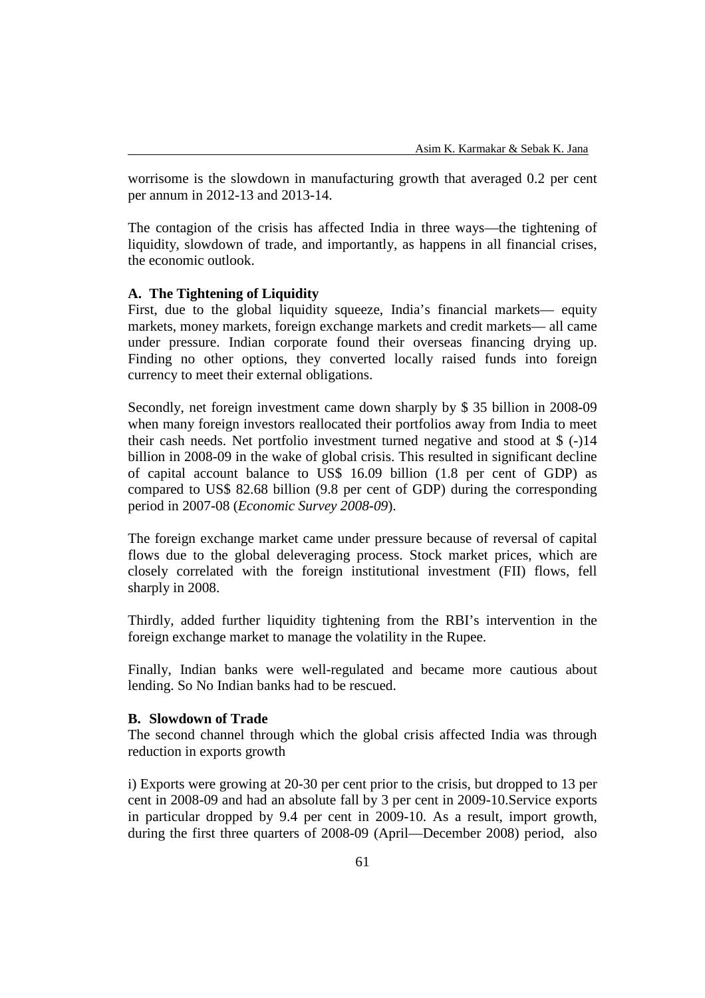worrisome is the slowdown in manufacturing growth that averaged 0.2 per cent per annum in 2012-13 and 2013-14.

The contagion of the crisis has affected India in three ways—the tightening of liquidity, slowdown of trade, and importantly, as happens in all financial crises, the economic outlook.

## **A. The Tightening of Liquidity**

First, due to the global liquidity squeeze, India's financial markets— equity markets, money markets, foreign exchange markets and credit markets— all came under pressure. Indian corporate found their overseas financing drying up. Finding no other options, they converted locally raised funds into foreign currency to meet their external obligations.

Secondly, net foreign investment came down sharply by \$ 35 billion in 2008-09 when many foreign investors reallocated their portfolios away from India to meet their cash needs. Net portfolio investment turned negative and stood at \$ (-)14 billion in 2008-09 in the wake of global crisis. This resulted in significant decline of capital account balance to US\$ 16.09 billion (1.8 per cent of GDP) as compared to US\$ 82.68 billion (9.8 per cent of GDP) during the corresponding period in 2007-08 (*Economic Survey 2008-09*).

The foreign exchange market came under pressure because of reversal of capital flows due to the global deleveraging process. Stock market prices, which are closely correlated with the foreign institutional investment (FII) flows, fell sharply in 2008.

Thirdly, added further liquidity tightening from the RBI's intervention in the foreign exchange market to manage the volatility in the Rupee.

Finally, Indian banks were well-regulated and became more cautious about lending. So No Indian banks had to be rescued.

### **B. Slowdown of Trade**

The second channel through which the global crisis affected India was through reduction in exports growth

i) Exports were growing at 20-30 per cent prior to the crisis, but dropped to 13 per cent in 2008-09 and had an absolute fall by 3 per cent in 2009-10.Service exports in particular dropped by 9.4 per cent in 2009-10. As a result, import growth, during the first three quarters of 2008-09 (April—December 2008) period, also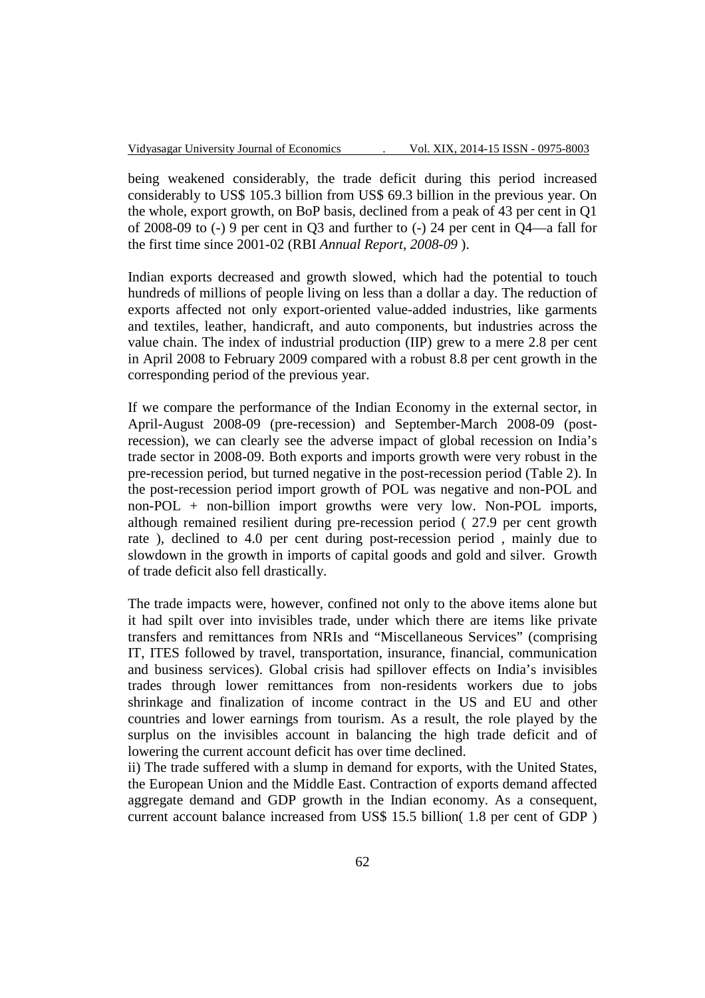being weakened considerably, the trade deficit during this period increased considerably to US\$ 105.3 billion from US\$ 69.3 billion in the previous year. On the whole, export growth, on BoP basis, declined from a peak of 43 per cent in Q1 of 2008-09 to (-) 9 per cent in Q3 and further to (-) 24 per cent in Q4—a fall for the first time since 2001-02 (RBI *Annual Report*, *2008-09* ).

Indian exports decreased and growth slowed, which had the potential to touch hundreds of millions of people living on less than a dollar a day. The reduction of exports affected not only export-oriented value-added industries, like garments and textiles, leather, handicraft, and auto components, but industries across the value chain. The index of industrial production (IIP) grew to a mere 2.8 per cent in April 2008 to February 2009 compared with a robust 8.8 per cent growth in the corresponding period of the previous year.

If we compare the performance of the Indian Economy in the external sector, in April-August 2008-09 (pre-recession) and September-March 2008-09 (postrecession), we can clearly see the adverse impact of global recession on India's trade sector in 2008-09. Both exports and imports growth were very robust in the pre-recession period, but turned negative in the post-recession period (Table 2). In the post-recession period import growth of POL was negative and non-POL and non-POL + non-billion import growths were very low. Non-POL imports, although remained resilient during pre-recession period ( 27.9 per cent growth rate ), declined to 4.0 per cent during post-recession period , mainly due to slowdown in the growth in imports of capital goods and gold and silver. Growth of trade deficit also fell drastically.

The trade impacts were, however, confined not only to the above items alone but it had spilt over into invisibles trade, under which there are items like private transfers and remittances from NRIs and "Miscellaneous Services" (comprising IT, ITES followed by travel, transportation, insurance, financial, communication and business services). Global crisis had spillover effects on India's invisibles trades through lower remittances from non-residents workers due to jobs shrinkage and finalization of income contract in the US and EU and other countries and lower earnings from tourism. As a result, the role played by the surplus on the invisibles account in balancing the high trade deficit and of lowering the current account deficit has over time declined.

ii) The trade suffered with a slump in demand for exports, with the United States, the European Union and the Middle East. Contraction of exports demand affected aggregate demand and GDP growth in the Indian economy. As a consequent, current account balance increased from US\$ 15.5 billion( 1.8 per cent of GDP )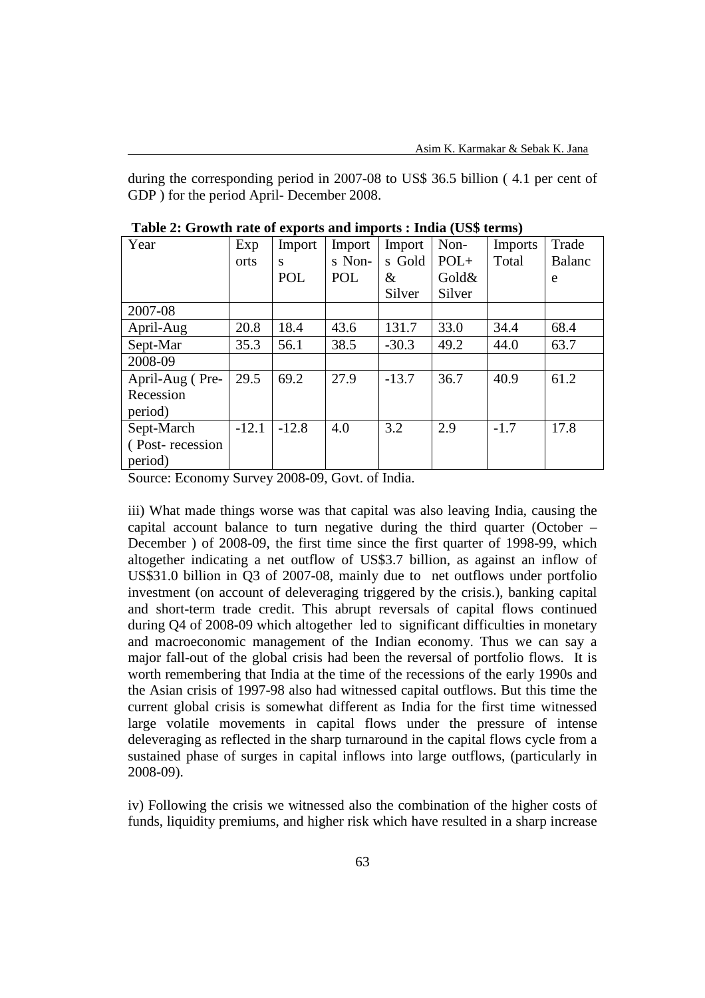during the corresponding period in 2007-08 to US\$ 36.5 billion ( 4.1 per cent of GDP ) for the period April- December 2008.

| Year             | Exp     | Import  | Import     | Import  | Non-   | <b>Imports</b> | Trade  |
|------------------|---------|---------|------------|---------|--------|----------------|--------|
|                  | orts    | S       | s Non-     | s Gold  | $POL+$ | Total          | Balanc |
|                  |         | POL     | <b>POL</b> | &       | Gold&  |                | e      |
|                  |         |         |            | Silver  | Silver |                |        |
| 2007-08          |         |         |            |         |        |                |        |
| April-Aug        | 20.8    | 18.4    | 43.6       | 131.7   | 33.0   | 34.4           | 68.4   |
| Sept-Mar         | 35.3    | 56.1    | 38.5       | $-30.3$ | 49.2   | 44.0           | 63.7   |
| 2008-09          |         |         |            |         |        |                |        |
| April-Aug (Pre-  | 29.5    | 69.2    | 27.9       | $-13.7$ | 36.7   | 40.9           | 61.2   |
| Recession        |         |         |            |         |        |                |        |
| period)          |         |         |            |         |        |                |        |
| Sept-March       | $-12.1$ | $-12.8$ | 4.0        | 3.2     | 2.9    | $-1.7$         | 17.8   |
| (Post-recession) |         |         |            |         |        |                |        |
| period)          |         |         |            |         |        |                |        |

 **Table 2: Growth rate of exports and imports : India (US\$ terms)** 

Source: Economy Survey 2008-09, Govt. of India.

iii) What made things worse was that capital was also leaving India, causing the capital account balance to turn negative during the third quarter (October – December ) of 2008-09, the first time since the first quarter of 1998-99, which altogether indicating a net outflow of US\$3.7 billion, as against an inflow of US\$31.0 billion in Q3 of 2007-08, mainly due to net outflows under portfolio investment (on account of deleveraging triggered by the crisis.), banking capital and short-term trade credit. This abrupt reversals of capital flows continued during Q4 of 2008-09 which altogether led to significant difficulties in monetary and macroeconomic management of the Indian economy. Thus we can say a major fall-out of the global crisis had been the reversal of portfolio flows. It is worth remembering that India at the time of the recessions of the early 1990s and the Asian crisis of 1997-98 also had witnessed capital outflows. But this time the current global crisis is somewhat different as India for the first time witnessed large volatile movements in capital flows under the pressure of intense deleveraging as reflected in the sharp turnaround in the capital flows cycle from a sustained phase of surges in capital inflows into large outflows, (particularly in 2008-09).

iv) Following the crisis we witnessed also the combination of the higher costs of funds, liquidity premiums, and higher risk which have resulted in a sharp increase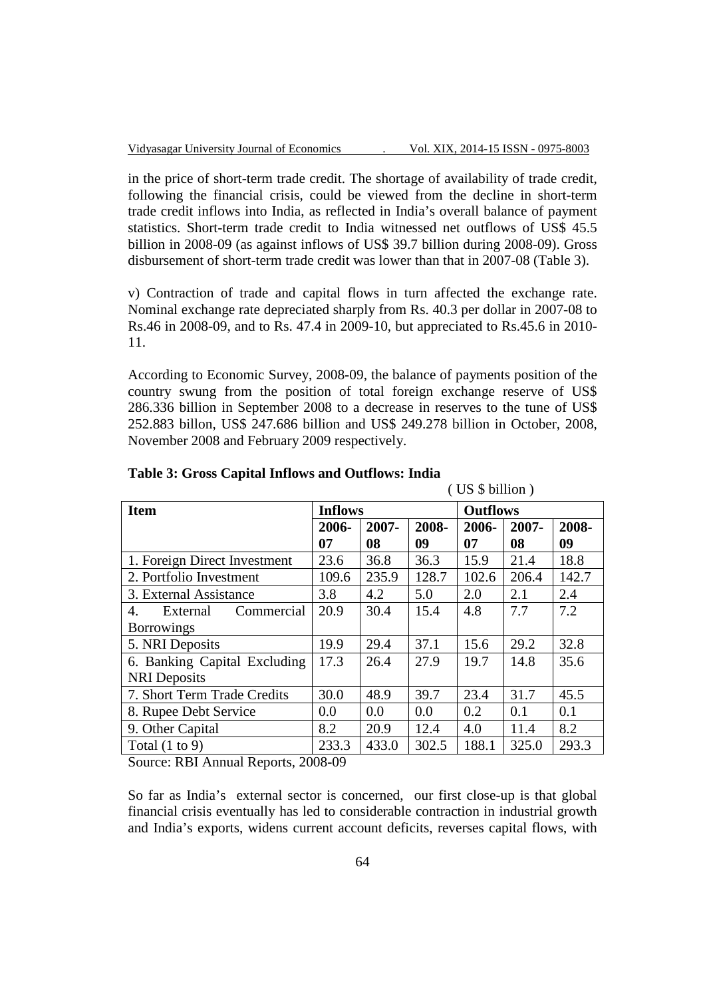$($  US  $\frac{1}{2}$  billion )

in the price of short-term trade credit. The shortage of availability of trade credit, following the financial crisis, could be viewed from the decline in short-term trade credit inflows into India, as reflected in India's overall balance of payment statistics. Short-term trade credit to India witnessed net outflows of US\$ 45.5 billion in 2008-09 (as against inflows of US\$ 39.7 billion during 2008-09). Gross disbursement of short-term trade credit was lower than that in 2007-08 (Table 3).

v) Contraction of trade and capital flows in turn affected the exchange rate. Nominal exchange rate depreciated sharply from Rs. 40.3 per dollar in 2007-08 to Rs.46 in 2008-09, and to Rs. 47.4 in 2009-10, but appreciated to Rs.45.6 in 2010- 11.

According to Economic Survey, 2008-09, the balance of payments position of the country swung from the position of total foreign exchange reserve of US\$ 286.336 billion in September 2008 to a decrease in reserves to the tune of US\$ 252.883 billon, US\$ 247.686 billion and US\$ 249.278 billion in October, 2008, November 2008 and February 2009 respectively.

| $\sqrt{2}$                   |                |       |       |                 |          |       |  |  |
|------------------------------|----------------|-------|-------|-----------------|----------|-------|--|--|
| <b>Item</b>                  | <b>Inflows</b> |       |       | <b>Outflows</b> |          |       |  |  |
|                              | 2006-          | 2007- | 2008- | 2006-           | $2007 -$ | 2008- |  |  |
|                              | 07             | 08    | 09    | 07              | 08       | 09    |  |  |
| 1. Foreign Direct Investment | 23.6           | 36.8  | 36.3  | 15.9            | 21.4     | 18.8  |  |  |
| 2. Portfolio Investment      | 109.6          | 235.9 | 128.7 | 102.6           | 206.4    | 142.7 |  |  |
| 3. External Assistance       | 3.8            | 4.2   | 5.0   | 2.0             | 2.1      | 2.4   |  |  |
| External<br>Commercial<br>4. | 20.9           | 30.4  | 15.4  | 4.8             | 7.7      | 7.2   |  |  |
| <b>Borrowings</b>            |                |       |       |                 |          |       |  |  |
| 5. NRI Deposits              | 19.9           | 29.4  | 37.1  | 15.6            | 29.2     | 32.8  |  |  |
| 6. Banking Capital Excluding | 17.3           | 26.4  | 27.9  | 19.7            | 14.8     | 35.6  |  |  |
| <b>NRI</b> Deposits          |                |       |       |                 |          |       |  |  |
| 7. Short Term Trade Credits  | 30.0           | 48.9  | 39.7  | 23.4            | 31.7     | 45.5  |  |  |
| 8. Rupee Debt Service        | 0.0            | 0.0   | 0.0   | 0.2             | 0.1      | 0.1   |  |  |
| 9. Other Capital             | 8.2            | 20.9  | 12.4  | 4.0             | 11.4     | 8.2   |  |  |
| Total $(1 to 9)$             | 233.3          | 433.0 | 302.5 | 188.1           | 325.0    | 293.3 |  |  |

## **Table 3: Gross Capital Inflows and Outflows: India**

Source: RBI Annual Reports, 2008-09

So far as India's external sector is concerned, our first close-up is that global financial crisis eventually has led to considerable contraction in industrial growth and India's exports, widens current account deficits, reverses capital flows, with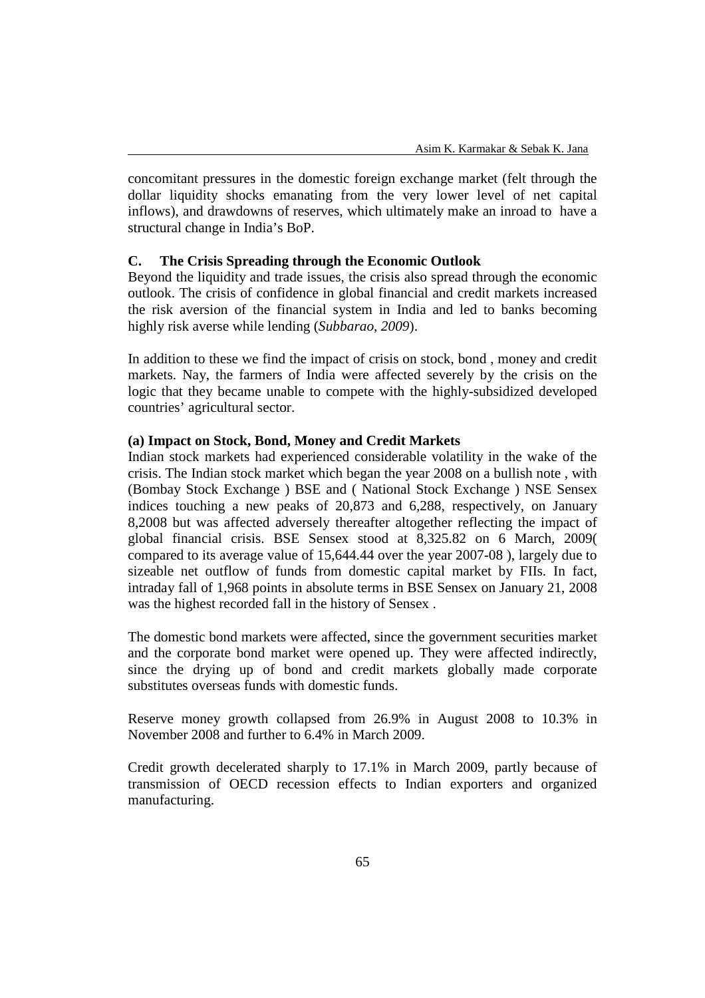concomitant pressures in the domestic foreign exchange market (felt through the dollar liquidity shocks emanating from the very lower level of net capital inflows), and drawdowns of reserves, which ultimately make an inroad to have a structural change in India's BoP.

## **C. The Crisis Spreading through the Economic Outlook**

Beyond the liquidity and trade issues, the crisis also spread through the economic outlook. The crisis of confidence in global financial and credit markets increased the risk aversion of the financial system in India and led to banks becoming highly risk averse while lending (*Subbarao, 2009*).

In addition to these we find the impact of crisis on stock, bond , money and credit markets. Nay, the farmers of India were affected severely by the crisis on the logic that they became unable to compete with the highly-subsidized developed countries' agricultural sector.

## **(a) Impact on Stock, Bond, Money and Credit Markets**

Indian stock markets had experienced considerable volatility in the wake of the crisis. The Indian stock market which began the year 2008 on a bullish note , with (Bombay Stock Exchange ) BSE and ( National Stock Exchange ) NSE Sensex indices touching a new peaks of 20,873 and 6,288, respectively, on January 8,2008 but was affected adversely thereafter altogether reflecting the impact of global financial crisis. BSE Sensex stood at 8,325.82 on 6 March, 2009( compared to its average value of 15,644.44 over the year 2007-08 ), largely due to sizeable net outflow of funds from domestic capital market by FIIs. In fact, intraday fall of 1,968 points in absolute terms in BSE Sensex on January 21, 2008 was the highest recorded fall in the history of Sensex .

The domestic bond markets were affected, since the government securities market and the corporate bond market were opened up. They were affected indirectly, since the drying up of bond and credit markets globally made corporate substitutes overseas funds with domestic funds.

Reserve money growth collapsed from 26.9% in August 2008 to 10.3% in November 2008 and further to 6.4% in March 2009.

Credit growth decelerated sharply to 17.1% in March 2009, partly because of transmission of OECD recession effects to Indian exporters and organized manufacturing.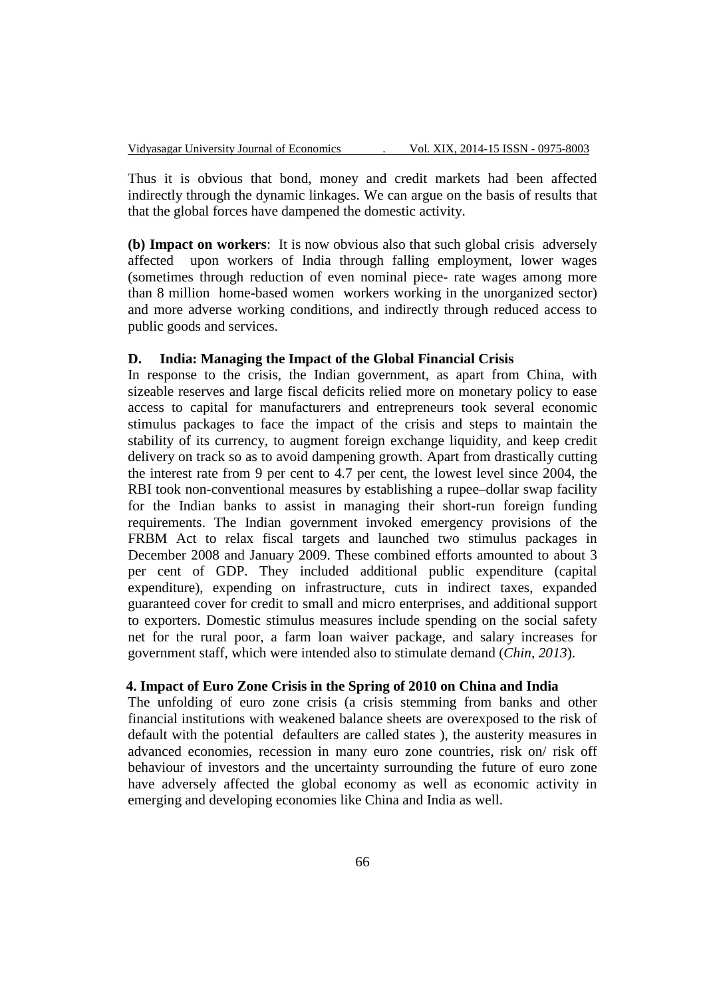Thus it is obvious that bond, money and credit markets had been affected indirectly through the dynamic linkages. We can argue on the basis of results that that the global forces have dampened the domestic activity.

**(b) Impact on workers**: It is now obvious also that such global crisis adversely affected upon workers of India through falling employment, lower wages (sometimes through reduction of even nominal piece- rate wages among more than 8 million home-based women workers working in the unorganized sector) and more adverse working conditions, and indirectly through reduced access to public goods and services.

## **D. India: Managing the Impact of the Global Financial Crisis**

In response to the crisis, the Indian government, as apart from China, with sizeable reserves and large fiscal deficits relied more on monetary policy to ease access to capital for manufacturers and entrepreneurs took several economic stimulus packages to face the impact of the crisis and steps to maintain the stability of its currency, to augment foreign exchange liquidity, and keep credit delivery on track so as to avoid dampening growth. Apart from drastically cutting the interest rate from 9 per cent to 4.7 per cent, the lowest level since 2004, the RBI took non-conventional measures by establishing a rupee–dollar swap facility for the Indian banks to assist in managing their short-run foreign funding requirements. The Indian government invoked emergency provisions of the FRBM Act to relax fiscal targets and launched two stimulus packages in December 2008 and January 2009. These combined efforts amounted to about 3 per cent of GDP. They included additional public expenditure (capital expenditure), expending on infrastructure, cuts in indirect taxes, expanded guaranteed cover for credit to small and micro enterprises, and additional support to exporters. Domestic stimulus measures include spending on the social safety net for the rural poor, a farm loan waiver package, and salary increases for government staff, which were intended also to stimulate demand (*Chin, 2013*).

## **4. Impact of Euro Zone Crisis in the Spring of 2010 on China and India**

The unfolding of euro zone crisis (a crisis stemming from banks and other financial institutions with weakened balance sheets are overexposed to the risk of default with the potential defaulters are called states ), the austerity measures in advanced economies, recession in many euro zone countries, risk on/ risk off behaviour of investors and the uncertainty surrounding the future of euro zone have adversely affected the global economy as well as economic activity in emerging and developing economies like China and India as well.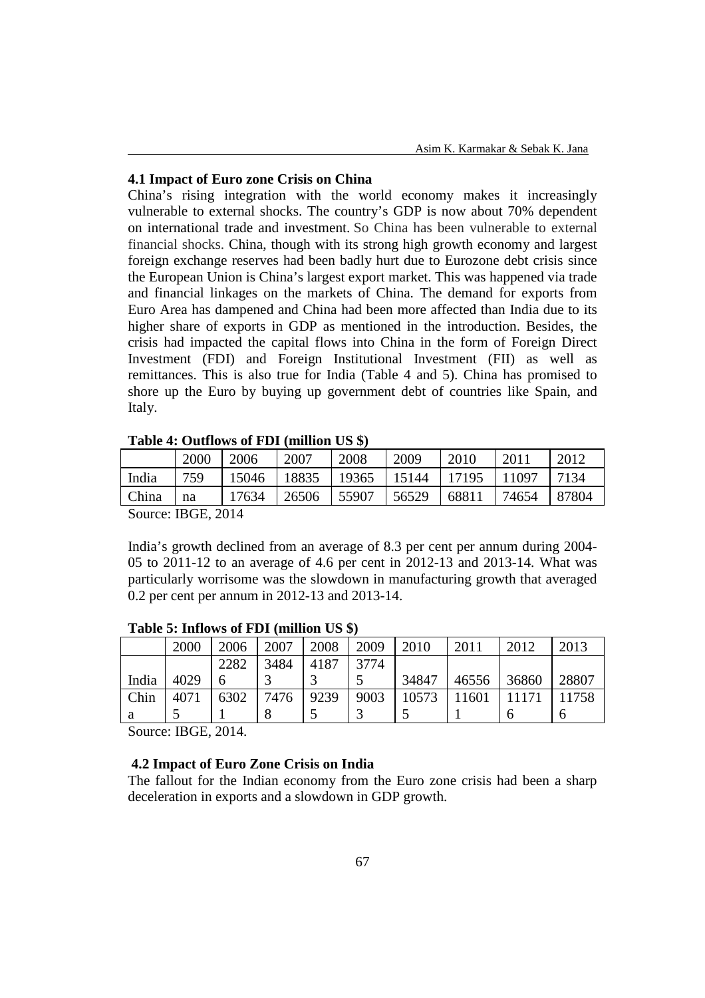### **4.1 Impact of Euro zone Crisis on China**

China's rising integration with the world economy makes it increasingly vulnerable to external shocks. The country's GDP is now about 70% dependent on international trade and investment. So China has been vulnerable to external financial shocks. China, though with its strong high growth economy and largest foreign exchange reserves had been badly hurt due to Eurozone debt crisis since the European Union is China's largest export market. This was happened via trade and financial linkages on the markets of China. The demand for exports from Euro Area has dampened and China had been more affected than India due to its higher share of exports in GDP as mentioned in the introduction. Besides, the crisis had impacted the capital flows into China in the form of Foreign Direct Investment (FDI) and Foreign Institutional Investment (FII) as well as remittances. This is also true for India (Table 4 and 5). China has promised to shore up the Euro by buying up government debt of countries like Spain, and Italy.

|        | 2000                                                       | 2006  | 2007  | 2008  | 2009  | 2010  | 2011  | 2012  |
|--------|------------------------------------------------------------|-------|-------|-------|-------|-------|-------|-------|
| India  | 759                                                        | 15046 | 18835 | 19365 | 15144 | 17195 | 11097 | 7134  |
| China  | na                                                         | 17634 | 26506 | 55907 | 56529 | 68811 | 74654 | 87804 |
| $\sim$ | $T_{\rm D}$ $\cap$ $T_{\rm D}$ $\cap$ $\cap$ $\cap$ $\cap$ |       |       |       |       |       |       |       |

## **Table 4: Outflows of FDI (million US \$)**

Source: IBGE, 2014

India's growth declined from an average of 8.3 per cent per annum during 2004- 05 to 2011-12 to an average of 4.6 per cent in 2012-13 and 2013-14. What was particularly worrisome was the slowdown in manufacturing growth that averaged 0.2 per cent per annum in 2012-13 and 2013-14.

|       | 2000 | 2006 | 2007 | 2008 | 2009 | 2010  | 2011  | 2012  | 2013  |
|-------|------|------|------|------|------|-------|-------|-------|-------|
|       |      | 2282 | 3484 | 4187 | 3774 |       |       |       |       |
| India | 4029 |      |      |      |      | 34847 | 46556 | 36860 | 28807 |
| Chin  | 4071 | 6302 | 7476 | 9239 | 9003 | 10573 | 11601 | 11171 | 11758 |
| a     |      |      |      |      |      |       |       | O     | O     |

## **Table 5: Inflows of FDI (million US \$)**

Source: IBGE, 2014.

## **4.2 Impact of Euro Zone Crisis on India**

The fallout for the Indian economy from the Euro zone crisis had been a sharp deceleration in exports and a slowdown in GDP growth.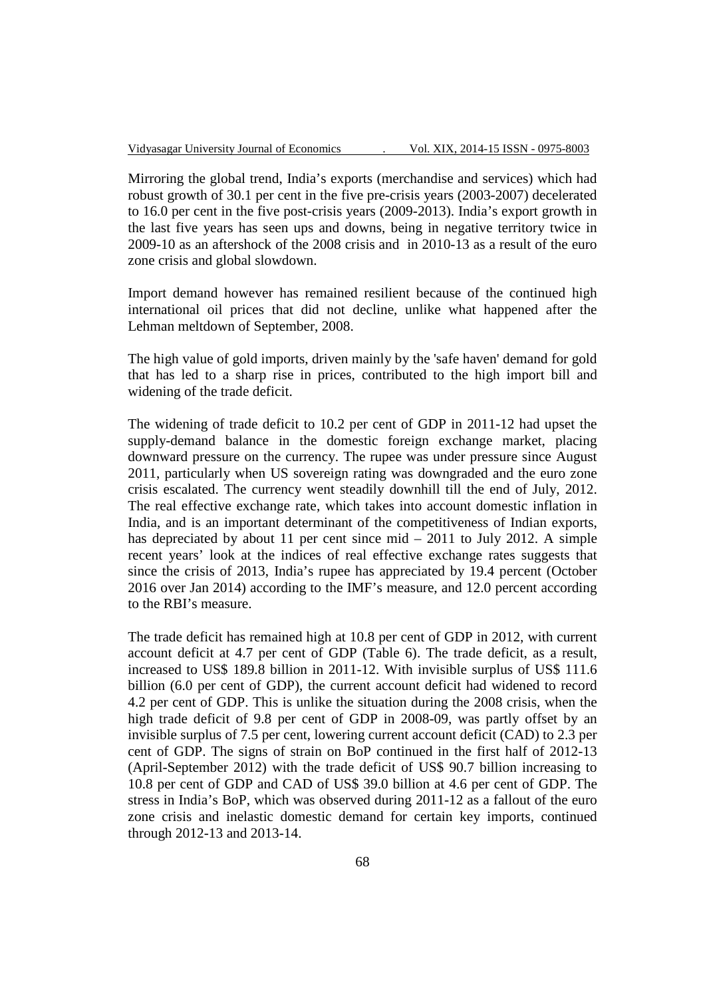Mirroring the global trend, India's exports (merchandise and services) which had robust growth of 30.1 per cent in the five pre-crisis years (2003-2007) decelerated to 16.0 per cent in the five post-crisis years (2009-2013). India's export growth in the last five years has seen ups and downs, being in negative territory twice in 2009-10 as an aftershock of the 2008 crisis and in 2010-13 as a result of the euro zone crisis and global slowdown.

Import demand however has remained resilient because of the continued high international oil prices that did not decline, unlike what happened after the Lehman meltdown of September, 2008.

The high value of gold imports, driven mainly by the 'safe haven' demand for gold that has led to a sharp rise in prices, contributed to the high import bill and widening of the trade deficit.

The widening of trade deficit to 10.2 per cent of GDP in 2011-12 had upset the supply-demand balance in the domestic foreign exchange market, placing downward pressure on the currency. The rupee was under pressure since August 2011, particularly when US sovereign rating was downgraded and the euro zone crisis escalated. The currency went steadily downhill till the end of July, 2012. The real effective exchange rate, which takes into account domestic inflation in India, and is an important determinant of the competitiveness of Indian exports, has depreciated by about 11 per cent since mid – 2011 to July 2012. A simple recent years' look at the indices of real effective exchange rates suggests that since the crisis of 2013, India's rupee has appreciated by 19.4 percent (October 2016 over Jan 2014) according to the IMF's measure, and 12.0 percent according to the RBI's measure.

The trade deficit has remained high at 10.8 per cent of GDP in 2012, with current account deficit at 4.7 per cent of GDP (Table 6). The trade deficit, as a result, increased to US\$ 189.8 billion in 2011-12. With invisible surplus of US\$ 111.6 billion (6.0 per cent of GDP), the current account deficit had widened to record 4.2 per cent of GDP. This is unlike the situation during the 2008 crisis, when the high trade deficit of 9.8 per cent of GDP in 2008-09, was partly offset by an invisible surplus of 7.5 per cent, lowering current account deficit (CAD) to 2.3 per cent of GDP. The signs of strain on BoP continued in the first half of 2012-13 (April-September 2012) with the trade deficit of US\$ 90.7 billion increasing to 10.8 per cent of GDP and CAD of US\$ 39.0 billion at 4.6 per cent of GDP. The stress in India's BoP, which was observed during 2011-12 as a fallout of the euro zone crisis and inelastic domestic demand for certain key imports, continued through 2012-13 and 2013-14.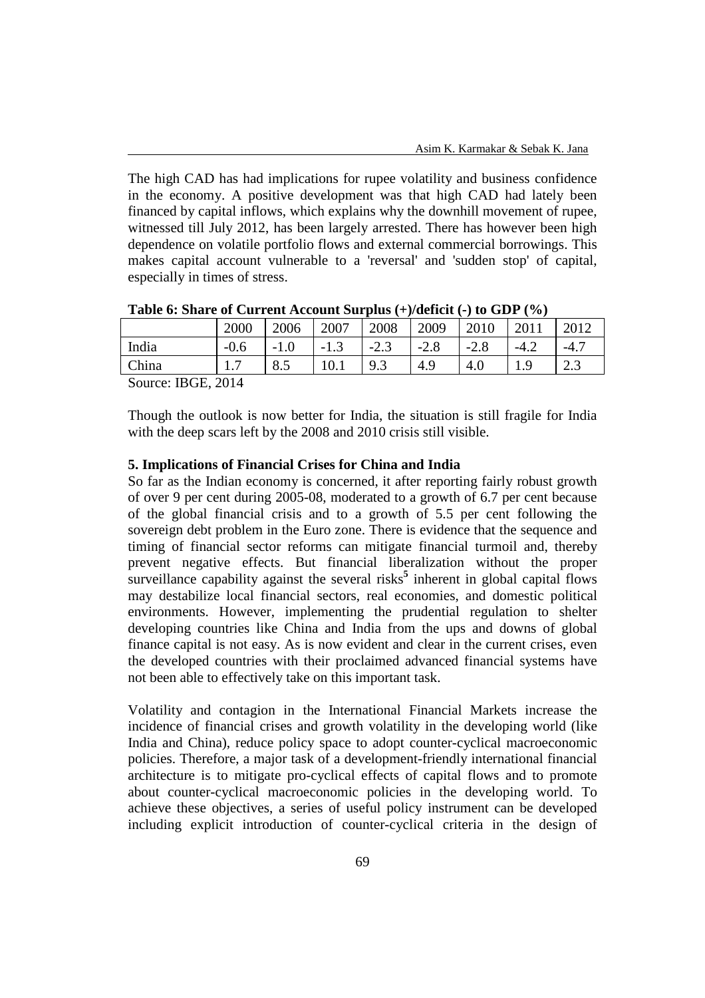The high CAD has had implications for rupee volatility and business confidence in the economy. A positive development was that high CAD had lately been financed by capital inflows, which explains why the downhill movement of rupee, witnessed till July 2012, has been largely arrested. There has however been high dependence on volatile portfolio flows and external commercial borrowings. This makes capital account vulnerable to a 'reversal' and 'sudden stop' of capital, especially in times of stress.

|                                                                     | 2000   | 2006   | 2007   | 2008   | 2009   | 2010   | 2011   | 2012  |
|---------------------------------------------------------------------|--------|--------|--------|--------|--------|--------|--------|-------|
| India                                                               | $-0.6$ | $-1.0$ | $-1.3$ | $-2.3$ | $-2.8$ | $-2.8$ | $-4.2$ | $-4.$ |
| China                                                               | 1.7    | 8.5    | 10.1   | 9.3    | 4.9    | 4.0    |        | 2.3   |
| $T_{\text{D}}$ $\alpha$ $\Gamma$ $\alpha$ $\beta$ $\beta$<br>$\sim$ |        |        |        |        |        |        |        |       |

**Table 6: Share of Current Account Surplus (+)/deficit (-) to GDP (%)** 

Source: IBGE, 2014

Though the outlook is now better for India, the situation is still fragile for India with the deep scars left by the 2008 and 2010 crisis still visible.

#### **5. Implications of Financial Crises for China and India**

So far as the Indian economy is concerned, it after reporting fairly robust growth of over 9 per cent during 2005-08, moderated to a growth of 6.7 per cent because of the global financial crisis and to a growth of 5.5 per cent following the sovereign debt problem in the Euro zone. There is evidence that the sequence and timing of financial sector reforms can mitigate financial turmoil and, thereby prevent negative effects. But financial liberalization without the proper surveillance capability against the several risks<sup>5</sup> inherent in global capital flows may destabilize local financial sectors, real economies, and domestic political environments. However, implementing the prudential regulation to shelter developing countries like China and India from the ups and downs of global finance capital is not easy. As is now evident and clear in the current crises, even the developed countries with their proclaimed advanced financial systems have not been able to effectively take on this important task.

Volatility and contagion in the International Financial Markets increase the incidence of financial crises and growth volatility in the developing world (like India and China), reduce policy space to adopt counter-cyclical macroeconomic policies. Therefore, a major task of a development-friendly international financial architecture is to mitigate pro-cyclical effects of capital flows and to promote about counter-cyclical macroeconomic policies in the developing world. To achieve these objectives, a series of useful policy instrument can be developed including explicit introduction of counter-cyclical criteria in the design of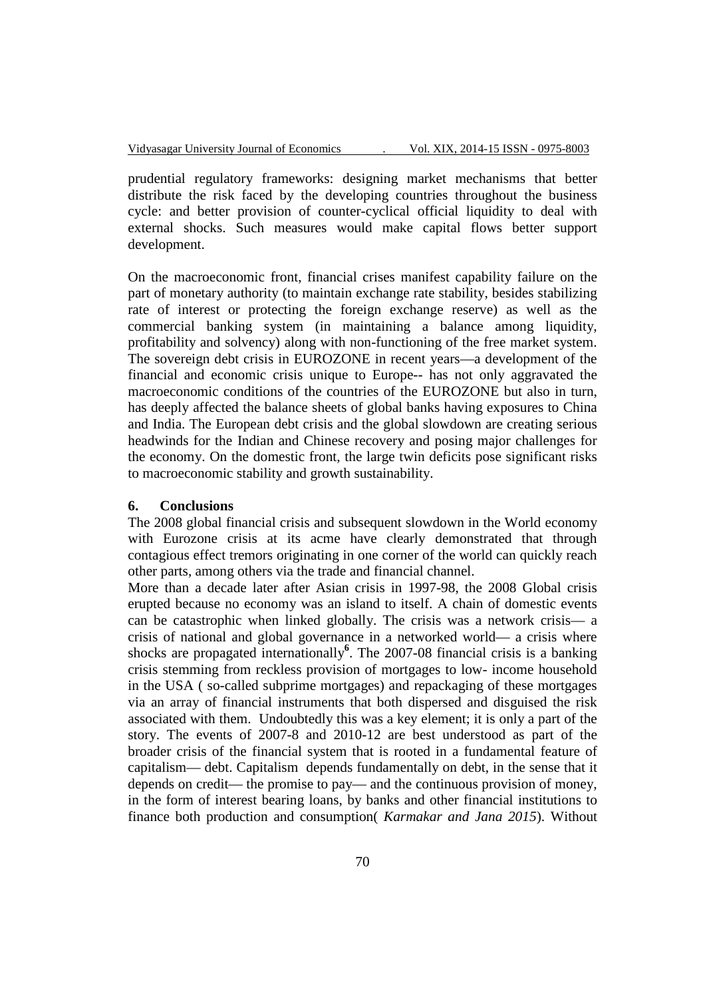prudential regulatory frameworks: designing market mechanisms that better distribute the risk faced by the developing countries throughout the business cycle: and better provision of counter-cyclical official liquidity to deal with external shocks. Such measures would make capital flows better support development.

On the macroeconomic front, financial crises manifest capability failure on the part of monetary authority (to maintain exchange rate stability, besides stabilizing rate of interest or protecting the foreign exchange reserve) as well as the commercial banking system (in maintaining a balance among liquidity, profitability and solvency) along with non-functioning of the free market system. The sovereign debt crisis in EUROZONE in recent years—a development of the financial and economic crisis unique to Europe-- has not only aggravated the macroeconomic conditions of the countries of the EUROZONE but also in turn, has deeply affected the balance sheets of global banks having exposures to China and India. The European debt crisis and the global slowdown are creating serious headwinds for the Indian and Chinese recovery and posing major challenges for the economy. On the domestic front, the large twin deficits pose significant risks to macroeconomic stability and growth sustainability.

### **6. Conclusions**

The 2008 global financial crisis and subsequent slowdown in the World economy with Eurozone crisis at its acme have clearly demonstrated that through contagious effect tremors originating in one corner of the world can quickly reach other parts, among others via the trade and financial channel.

More than a decade later after Asian crisis in 1997-98, the 2008 Global crisis erupted because no economy was an island to itself. A chain of domestic events can be catastrophic when linked globally. The crisis was a network crisis— a crisis of national and global governance in a networked world— a crisis where shocks are propagated internationally**<sup>6</sup>** . The 2007-08 financial crisis is a banking crisis stemming from reckless provision of mortgages to low- income household in the USA ( so-called subprime mortgages) and repackaging of these mortgages via an array of financial instruments that both dispersed and disguised the risk associated with them. Undoubtedly this was a key element; it is only a part of the story. The events of 2007-8 and 2010-12 are best understood as part of the broader crisis of the financial system that is rooted in a fundamental feature of capitalism— debt. Capitalism depends fundamentally on debt, in the sense that it depends on credit— the promise to pay— and the continuous provision of money, in the form of interest bearing loans, by banks and other financial institutions to finance both production and consumption( *Karmakar and Jana 2015*). Without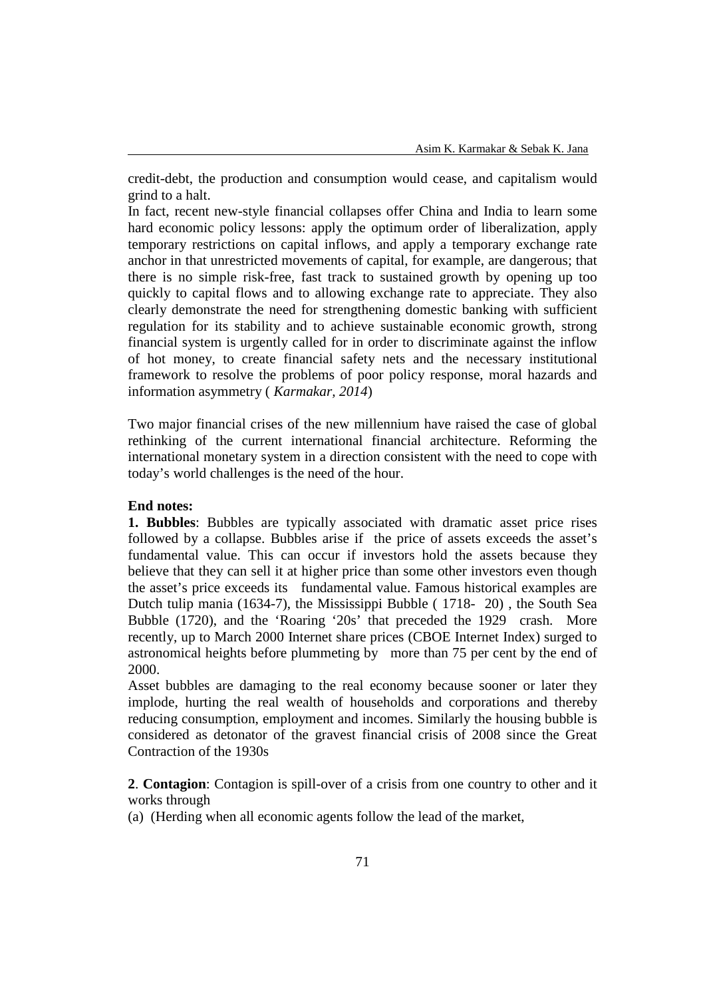credit-debt, the production and consumption would cease, and capitalism would grind to a halt.

In fact, recent new-style financial collapses offer China and India to learn some hard economic policy lessons: apply the optimum order of liberalization, apply temporary restrictions on capital inflows, and apply a temporary exchange rate anchor in that unrestricted movements of capital, for example, are dangerous; that there is no simple risk-free, fast track to sustained growth by opening up too quickly to capital flows and to allowing exchange rate to appreciate. They also clearly demonstrate the need for strengthening domestic banking with sufficient regulation for its stability and to achieve sustainable economic growth, strong financial system is urgently called for in order to discriminate against the inflow of hot money, to create financial safety nets and the necessary institutional framework to resolve the problems of poor policy response, moral hazards and information asymmetry ( *Karmakar, 2014*)

Two major financial crises of the new millennium have raised the case of global rethinking of the current international financial architecture. Reforming the international monetary system in a direction consistent with the need to cope with today's world challenges is the need of the hour.

## **End notes:**

**1. Bubbles**: Bubbles are typically associated with dramatic asset price rises followed by a collapse. Bubbles arise if the price of assets exceeds the asset's fundamental value. This can occur if investors hold the assets because they believe that they can sell it at higher price than some other investors even though the asset's price exceeds its fundamental value. Famous historical examples are Dutch tulip mania (1634-7), the Mississippi Bubble ( 1718- 20) , the South Sea Bubble (1720), and the 'Roaring '20s' that preceded the 1929 crash. More recently, up to March 2000 Internet share prices (CBOE Internet Index) surged to astronomical heights before plummeting by more than 75 per cent by the end of 2000.

Asset bubbles are damaging to the real economy because sooner or later they implode, hurting the real wealth of households and corporations and thereby reducing consumption, employment and incomes. Similarly the housing bubble is considered as detonator of the gravest financial crisis of 2008 since the Great Contraction of the 1930s

**2**. **Contagion**: Contagion is spill-over of a crisis from one country to other and it works through

(a) (Herding when all economic agents follow the lead of the market,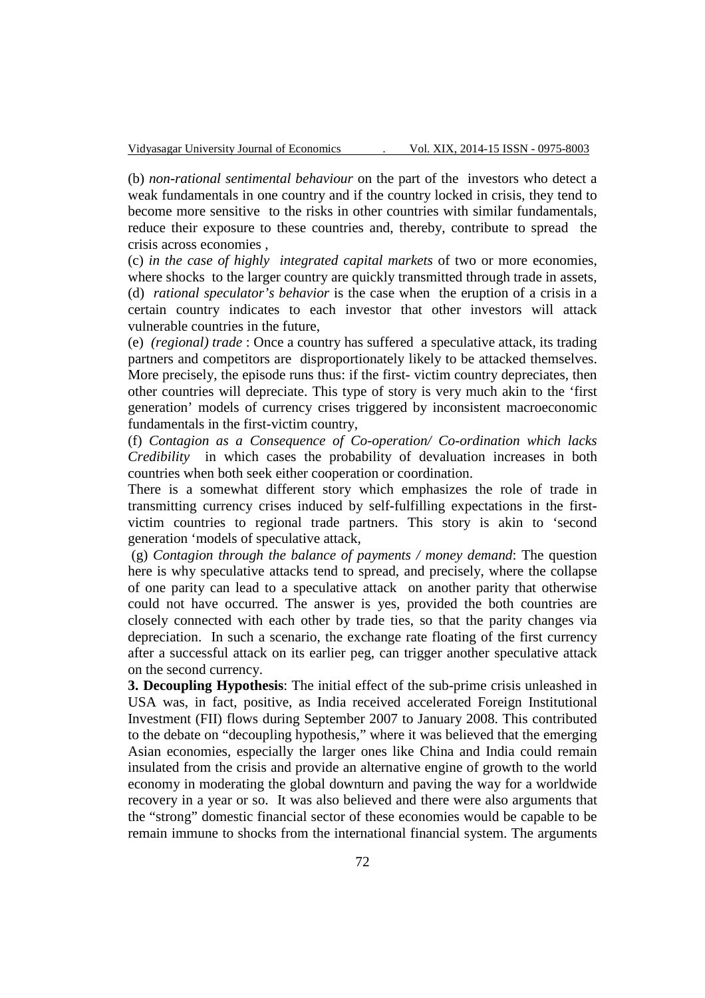(b) *non-rational sentimental behaviour* on the part of the investors who detect a weak fundamentals in one country and if the country locked in crisis, they tend to become more sensitive to the risks in other countries with similar fundamentals, reduce their exposure to these countries and, thereby, contribute to spread the crisis across economies ,

(c) *in the case of highly integrated capital markets* of two or more economies, where shocks to the larger country are quickly transmitted through trade in assets, (d) *rational speculator's behavior* is the case when the eruption of a crisis in a certain country indicates to each investor that other investors will attack vulnerable countries in the future,

(e) *(regional) trade* : Once a country has suffered a speculative attack, its trading partners and competitors are disproportionately likely to be attacked themselves. More precisely, the episode runs thus: if the first-victim country depreciates, then other countries will depreciate. This type of story is very much akin to the 'first generation' models of currency crises triggered by inconsistent macroeconomic fundamentals in the first-victim country,

(f) *Contagion as a Consequence of Co-operation/ Co-ordination which lacks Credibility* in which cases the probability of devaluation increases in both countries when both seek either cooperation or coordination.

There is a somewhat different story which emphasizes the role of trade in transmitting currency crises induced by self-fulfilling expectations in the firstvictim countries to regional trade partners. This story is akin to 'second generation 'models of speculative attack,

 (g) *Contagion through the balance of payments / money demand*: The question here is why speculative attacks tend to spread, and precisely, where the collapse of one parity can lead to a speculative attack on another parity that otherwise could not have occurred. The answer is yes, provided the both countries are closely connected with each other by trade ties, so that the parity changes via depreciation. In such a scenario, the exchange rate floating of the first currency after a successful attack on its earlier peg, can trigger another speculative attack on the second currency.

**3. Decoupling Hypothesis**: The initial effect of the sub-prime crisis unleashed in USA was, in fact, positive, as India received accelerated Foreign Institutional Investment (FII) flows during September 2007 to January 2008. This contributed to the debate on "decoupling hypothesis," where it was believed that the emerging Asian economies, especially the larger ones like China and India could remain insulated from the crisis and provide an alternative engine of growth to the world economy in moderating the global downturn and paving the way for a worldwide recovery in a year or so. It was also believed and there were also arguments that the "strong" domestic financial sector of these economies would be capable to be remain immune to shocks from the international financial system. The arguments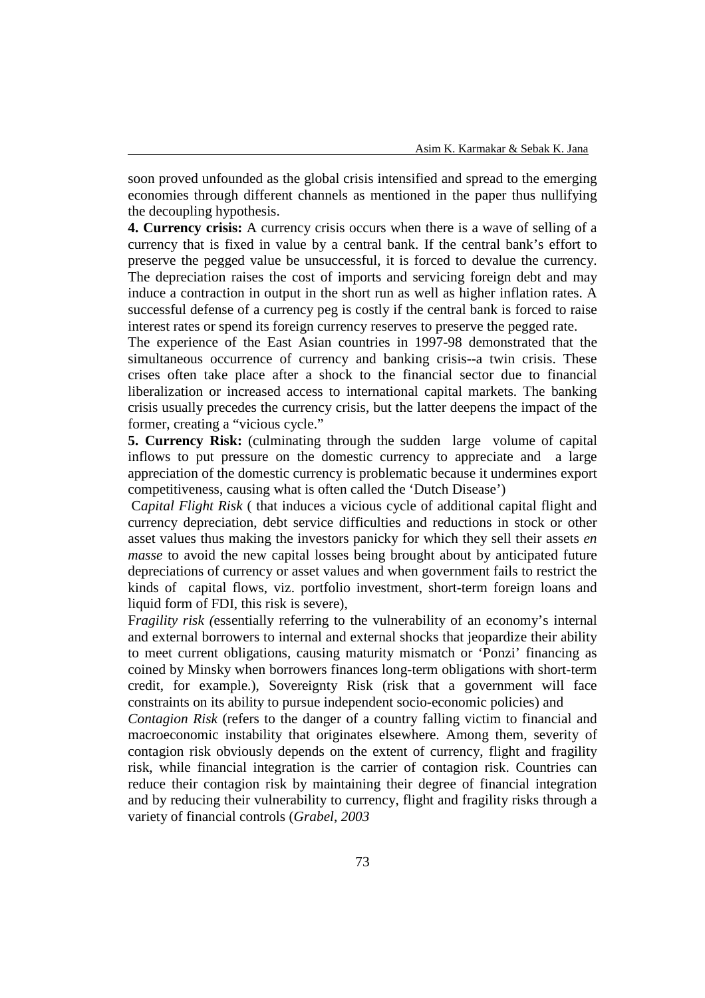soon proved unfounded as the global crisis intensified and spread to the emerging economies through different channels as mentioned in the paper thus nullifying the decoupling hypothesis.

**4. Currency crisis:** A currency crisis occurs when there is a wave of selling of a currency that is fixed in value by a central bank. If the central bank's effort to preserve the pegged value be unsuccessful, it is forced to devalue the currency. The depreciation raises the cost of imports and servicing foreign debt and may induce a contraction in output in the short run as well as higher inflation rates. A successful defense of a currency peg is costly if the central bank is forced to raise interest rates or spend its foreign currency reserves to preserve the pegged rate.

The experience of the East Asian countries in 1997-98 demonstrated that the simultaneous occurrence of currency and banking crisis--a twin crisis. These crises often take place after a shock to the financial sector due to financial liberalization or increased access to international capital markets. The banking crisis usually precedes the currency crisis, but the latter deepens the impact of the former, creating a "vicious cycle."

**5. Currency Risk:** (culminating through the sudden large volume of capital inflows to put pressure on the domestic currency to appreciate and a large appreciation of the domestic currency is problematic because it undermines export competitiveness, causing what is often called the 'Dutch Disease')

 C*apital Flight Risk* ( that induces a vicious cycle of additional capital flight and currency depreciation, debt service difficulties and reductions in stock or other asset values thus making the investors panicky for which they sell their assets *en masse* to avoid the new capital losses being brought about by anticipated future depreciations of currency or asset values and when government fails to restrict the kinds of capital flows, viz. portfolio investment, short-term foreign loans and liquid form of FDI, this risk is severe),

F*ragility risk (*essentially referring to the vulnerability of an economy's internal and external borrowers to internal and external shocks that jeopardize their ability to meet current obligations, causing maturity mismatch or 'Ponzi' financing as coined by Minsky when borrowers finances long-term obligations with short-term credit, for example.), Sovereignty Risk (risk that a government will face constraints on its ability to pursue independent socio-economic policies) and

*Contagion Risk* (refers to the danger of a country falling victim to financial and macroeconomic instability that originates elsewhere. Among them, severity of contagion risk obviously depends on the extent of currency, flight and fragility risk, while financial integration is the carrier of contagion risk. Countries can reduce their contagion risk by maintaining their degree of financial integration and by reducing their vulnerability to currency, flight and fragility risks through a variety of financial controls (*Grabel*, *2003*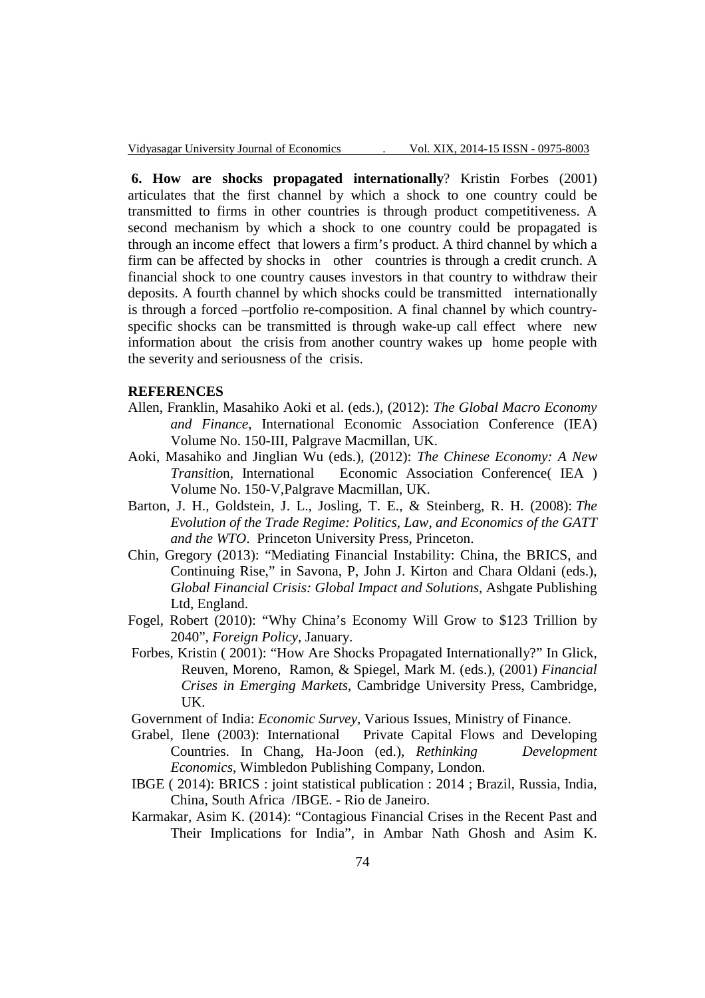**6. How are shocks propagated internationally**? Kristin Forbes (2001) articulates that the first channel by which a shock to one country could be transmitted to firms in other countries is through product competitiveness. A second mechanism by which a shock to one country could be propagated is through an income effect that lowers a firm's product. A third channel by which a firm can be affected by shocks in other countries is through a credit crunch. A financial shock to one country causes investors in that country to withdraw their deposits. A fourth channel by which shocks could be transmitted internationally is through a forced –portfolio re-composition. A final channel by which countryspecific shocks can be transmitted is through wake-up call effect where new information about the crisis from another country wakes up home people with the severity and seriousness of the crisis.

#### **REFERENCES**

- Allen, Franklin, Masahiko Aoki et al. (eds.), (2012): *The Global Macro Economy and Finance*, International Economic Association Conference (IEA) Volume No. 150-III, Palgrave Macmillan, UK.
- Aoki, Masahiko and Jinglian Wu (eds.), (2012): *The Chinese Economy: A New Transitio*n, International Economic Association Conference( IEA ) Volume No. 150-V,Palgrave Macmillan, UK.
- Barton, J. H., Goldstein, J. L., Josling, T. E., & Steinberg, R. H. (2008): *The Evolution of the Trade Regime: Politics, Law, and Economics of the GATT and the WTO*. Princeton University Press, Princeton.
- Chin, Gregory (2013): "Mediating Financial Instability: China, the BRICS, and Continuing Rise," in Savona, P, John J. Kirton and Chara Oldani (eds.), *Global Financial Crisis: Global Impact and Solutions,* Ashgate Publishing Ltd, England.
- Fogel, Robert (2010): "Why China's Economy Will Grow to \$123 Trillion by 2040", *Foreign Policy*, January.
- Forbes, Kristin ( 2001): "How Are Shocks Propagated Internationally?" In Glick, Reuven, Moreno, Ramon, & Spiegel, Mark M. (eds.), (2001) *Financial Crises in Emerging Markets*, Cambridge University Press, Cambridge, UK.
- Government of India: *Economic Survey*, Various Issues, Ministry of Finance.
- Grabel, Ilene (2003): International Private Capital Flows and Developing Countries. In Chang, Ha-Joon (ed.), *Rethinking Development Economics*, Wimbledon Publishing Company, London.
- IBGE ( 2014): BRICS : joint statistical publication : 2014 ; Brazil, Russia, India, China, South Africa /IBGE. - Rio de Janeiro.
- Karmakar, Asim K. (2014): "Contagious Financial Crises in the Recent Past and Their Implications for India", in Ambar Nath Ghosh and Asim K.